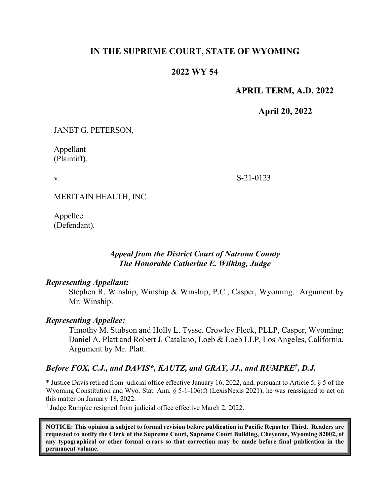## **IN THE SUPREME COURT, STATE OF WYOMING**

### **2022 WY 54**

### **APRIL TERM, A.D. 2022**

**April 20, 2022**

JANET G. PETERSON,

Appellant (Plaintiff),

v.

S-21-0123

MERITAIN HEALTH, INC.

Appellee (Defendant).

### *Appeal from the District Court of Natrona County The Honorable Catherine E. Wilking, Judge*

### *Representing Appellant:*

Stephen R. Winship, Winship & Winship, P.C., Casper, Wyoming. Argument by Mr. Winship.

### *Representing Appellee:*

Timothy M. Stubson and Holly L. Tysse, Crowley Fleck, PLLP, Casper, Wyoming; Daniel A. Platt and Robert J. Catalano, Loeb & Loeb LLP, Los Angeles, California. Argument by Mr. Platt.

### Before FOX, C.J., and DAVIS\*, KAUTZ, and GRAY, JJ., and RUMPKE<sup>†</sup>, D.J.

\* Justice Davis retired from judicial office effective January 16, 2022, and, pursuant to Article 5, § 5 of the Wyoming Constitution and Wyo. Stat. Ann. § 5-1-106(f) (LexisNexis 2021), he was reassigned to act on this matter on January 18, 2022.

**†** Judge Rumpke resigned from judicial office effective March 2, 2022.

**NOTICE: This opinion is subject to formal revision before publication in Pacific Reporter Third. Readers are requested to notify the Clerk of the Supreme Court, Supreme Court Building, Cheyenne, Wyoming 82002, of any typographical or other formal errors so that correction may be made before final publication in the permanent volume.**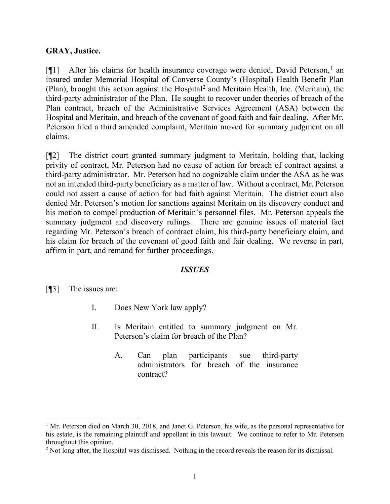### **GRAY, Justice.**

[¶[1](#page-1-0)] After his claims for health insurance coverage were denied, David Peterson,<sup>1</sup> an insured under Memorial Hospital of Converse County's (Hospital) Health Benefit Plan (Plan), brought this action against the Hospital[2](#page-1-1) and Meritain Health, Inc. (Meritain), the third-party administrator of the Plan. He sought to recover under theories of breach of the Plan contract, breach of the Administrative Services Agreement (ASA) between the Hospital and Meritain, and breach of the covenant of good faith and fair dealing. After Mr. Peterson filed a third amended complaint, Meritain moved for summary judgment on all claims.

[¶2] The district court granted summary judgment to Meritain, holding that, lacking privity of contract, Mr. Peterson had no cause of action for breach of contract against a third-party administrator. Mr. Peterson had no cognizable claim under the ASA as he was not an intended third-party beneficiary as a matter of law. Without a contract, Mr. Peterson could not assert a cause of action for bad faith against Meritain. The district court also denied Mr. Peterson's motion for sanctions against Meritain on its discovery conduct and his motion to compel production of Meritain's personnel files. Mr. Peterson appeals the summary judgment and discovery rulings. There are genuine issues of material fact regarding Mr. Peterson's breach of contract claim, his third-party beneficiary claim, and his claim for breach of the covenant of good faith and fair dealing. We reverse in part, affirm in part, and remand for further proceedings.

### *ISSUES*

[¶3] The issues are:

- I. Does New York law apply?
- II. Is Meritain entitled to summary judgment on Mr. Peterson's claim for breach of the Plan?
	- A. Can plan participants sue third-party administrators for breach of the insurance contract?

<span id="page-1-0"></span><sup>&</sup>lt;sup>1</sup> Mr. Peterson died on March 30, 2018, and Janet G. Peterson, his wife, as the personal representative for his estate, is the remaining plaintiff and appellant in this lawsuit. We continue to refer to Mr. Peterson throughout this opinion.

<span id="page-1-1"></span><sup>&</sup>lt;sup>2</sup> Not long after, the Hospital was dismissed. Nothing in the record reveals the reason for its dismissal.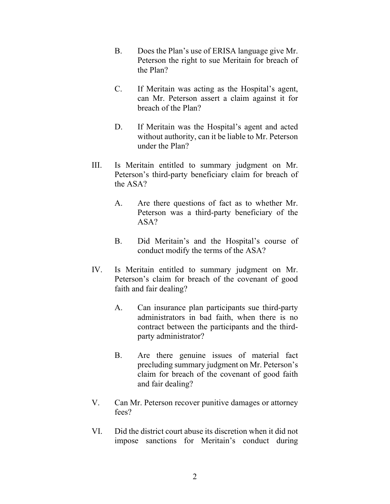- B. Does the Plan's use of ERISA language give Mr. Peterson the right to sue Meritain for breach of the Plan?
- C. If Meritain was acting as the Hospital's agent, can Mr. Peterson assert a claim against it for breach of the Plan?
- D. If Meritain was the Hospital's agent and acted without authority, can it be liable to Mr. Peterson under the Plan?
- III. Is Meritain entitled to summary judgment on Mr. Peterson's third-party beneficiary claim for breach of the ASA?
	- A. Are there questions of fact as to whether Mr. Peterson was a third-party beneficiary of the ASA?
	- B. Did Meritain's and the Hospital's course of conduct modify the terms of the ASA?
- IV. Is Meritain entitled to summary judgment on Mr. Peterson's claim for breach of the covenant of good faith and fair dealing?
	- A. Can insurance plan participants sue third-party administrators in bad faith, when there is no contract between the participants and the thirdparty administrator?
	- B. Are there genuine issues of material fact precluding summary judgment on Mr. Peterson's claim for breach of the covenant of good faith and fair dealing?
- V. Can Mr. Peterson recover punitive damages or attorney fees?
- VI. Did the district court abuse its discretion when it did not impose sanctions for Meritain's conduct during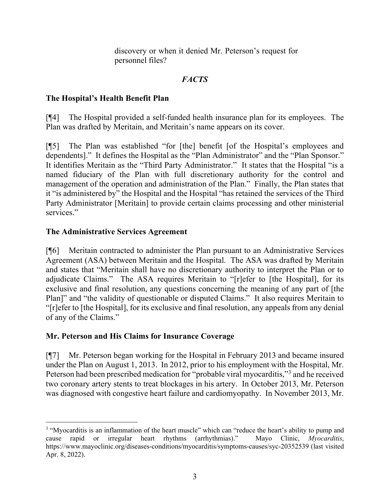discovery or when it denied Mr. Peterson's request for personnel files?

# *FACTS*

# **The Hospital's Health Benefit Plan**

[¶4] The Hospital provided a self-funded health insurance plan for its employees. The Plan was drafted by Meritain, and Meritain's name appears on its cover.

[¶5] The Plan was established "for [the] benefit [of the Hospital's employees and dependents]." It defines the Hospital as the "Plan Administrator" and the "Plan Sponsor." It identifies Meritain as the "Third Party Administrator." It states that the Hospital "is a named fiduciary of the Plan with full discretionary authority for the control and management of the operation and administration of the Plan." Finally, the Plan states that it "is administered by" the Hospital and the Hospital "has retained the services of the Third Party Administrator [Meritain] to provide certain claims processing and other ministerial services."

# **The Administrative Services Agreement**

[¶6] Meritain contracted to administer the Plan pursuant to an Administrative Services Agreement (ASA) between Meritain and the Hospital. The ASA was drafted by Meritain and states that "Meritain shall have no discretionary authority to interpret the Plan or to adjudicate Claims." The ASA requires Meritain to "[r]efer to [the Hospital], for its exclusive and final resolution, any questions concerning the meaning of any part of [the Plan]" and "the validity of questionable or disputed Claims." It also requires Meritain to "[r]efer to [the Hospital], for its exclusive and final resolution, any appeals from any denial of any of the Claims."

# **Mr. Peterson and His Claims for Insurance Coverage**

[¶7] Mr. Peterson began working for the Hospital in February 2013 and became insured under the Plan on August 1, 2013. In 2012, prior to his employment with the Hospital, Mr. Peterson had been prescribed medication for "probable viral myocarditis,"[3](#page-3-0) and he received two coronary artery stents to treat blockages in his artery. In October 2013, Mr. Peterson was diagnosed with congestive heart failure and cardiomyopathy. In November 2013, Mr.

<span id="page-3-0"></span><sup>&</sup>lt;sup>3</sup> "Myocarditis is an inflammation of the heart muscle" which can "reduce the heart's ability to pump and cause rapid or irregular heart rhythms (arrhythmias)." Mayo Clinic, *Myocarditis*, https://www.mayoclinic.org/diseases-conditions/myocarditis/symptoms-causes/syc-20352539 (last visited Apr. 8, 2022).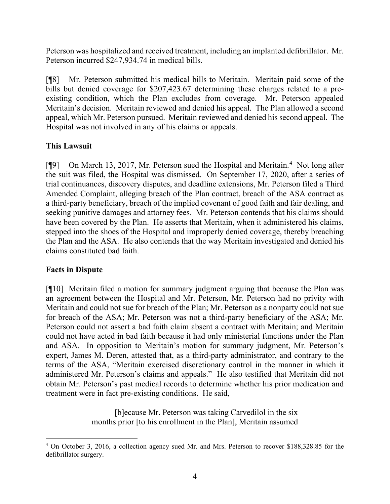Peterson was hospitalized and received treatment, including an implanted defibrillator. Mr. Peterson incurred \$247,934.74 in medical bills.

[¶8] Mr. Peterson submitted his medical bills to Meritain. Meritain paid some of the bills but denied coverage for \$207,423.67 determining these charges related to a preexisting condition, which the Plan excludes from coverage. Mr. Peterson appealed Meritain's decision. Meritain reviewed and denied his appeal. The Plan allowed a second appeal, which Mr. Peterson pursued. Meritain reviewed and denied his second appeal. The Hospital was not involved in any of his claims or appeals.

## **This Lawsuit**

[¶9] On March 13, 2017, Mr. Peterson sued the Hospital and Meritain.[4](#page-4-0) Not long after the suit was filed, the Hospital was dismissed. On September 17, 2020, after a series of trial continuances, discovery disputes, and deadline extensions, Mr. Peterson filed a Third Amended Complaint, alleging breach of the Plan contract, breach of the ASA contract as a third-party beneficiary, breach of the implied covenant of good faith and fair dealing, and seeking punitive damages and attorney fees. Mr. Peterson contends that his claims should have been covered by the Plan. He asserts that Meritain, when it administered his claims, stepped into the shoes of the Hospital and improperly denied coverage, thereby breaching the Plan and the ASA. He also contends that the way Meritain investigated and denied his claims constituted bad faith.

### **Facts in Dispute**

[¶10] Meritain filed a motion for summary judgment arguing that because the Plan was an agreement between the Hospital and Mr. Peterson, Mr. Peterson had no privity with Meritain and could not sue for breach of the Plan; Mr. Peterson as a nonparty could not sue for breach of the ASA; Mr. Peterson was not a third-party beneficiary of the ASA; Mr. Peterson could not assert a bad faith claim absent a contract with Meritain; and Meritain could not have acted in bad faith because it had only ministerial functions under the Plan and ASA. In opposition to Meritain's motion for summary judgment, Mr. Peterson's expert, James M. Deren, attested that, as a third-party administrator, and contrary to the terms of the ASA, "Meritain exercised discretionary control in the manner in which it administered Mr. Peterson's claims and appeals." He also testified that Meritain did not obtain Mr. Peterson's past medical records to determine whether his prior medication and treatment were in fact pre-existing conditions. He said,

> [b]ecause Mr. Peterson was taking Carvedilol in the six months prior [to his enrollment in the Plan], Meritain assumed

<span id="page-4-0"></span><sup>&</sup>lt;sup>4</sup> On October 3, 2016, a collection agency sued Mr. and Mrs. Peterson to recover \$188,328.85 for the defibrillator surgery.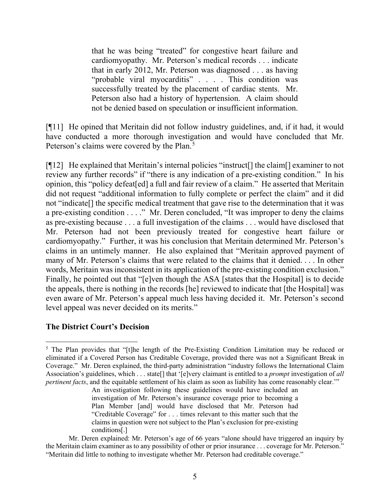that he was being "treated" for congestive heart failure and cardiomyopathy. Mr. Peterson's medical records . . . indicate that in early 2012, Mr. Peterson was diagnosed . . . as having "probable viral myocarditis" . . . . This condition was successfully treated by the placement of cardiac stents. Mr. Peterson also had a history of hypertension. A claim should not be denied based on speculation or insufficient information.

[¶11] He opined that Meritain did not follow industry guidelines, and, if it had, it would have conducted a more thorough investigation and would have concluded that Mr. Peterson's claims were covered by the Plan.<sup>[5](#page-5-0)</sup>

[¶12] He explained that Meritain's internal policies "instruct[] the claim[] examiner to not review any further records" if "there is any indication of a pre-existing condition." In his opinion, this "policy defeat[ed] a full and fair review of a claim." He asserted that Meritain did not request "additional information to fully complete or perfect the claim" and it did not "indicate[] the specific medical treatment that gave rise to the determination that it was a pre-existing condition . . . ." Mr. Deren concluded, "It was improper to deny the claims as pre-existing because . . . a full investigation of the claims . . . would have disclosed that Mr. Peterson had not been previously treated for congestive heart failure or cardiomyopathy." Further, it was his conclusion that Meritain determined Mr. Peterson's claims in an untimely manner. He also explained that "Meritain approved payment of many of Mr. Peterson's claims that were related to the claims that it denied. . . . In other words, Meritain was inconsistent in its application of the pre-existing condition exclusion." Finally, he pointed out that "[e]ven though the ASA [states that the Hospital] is to decide the appeals, there is nothing in the records [he] reviewed to indicate that [the Hospital] was even aware of Mr. Peterson's appeal much less having decided it. Mr. Peterson's second level appeal was never decided on its merits."

### **The District Court's Decision**

<span id="page-5-0"></span><sup>&</sup>lt;sup>5</sup> The Plan provides that "[t]he length of the Pre-Existing Condition Limitation may be reduced or eliminated if a Covered Person has Creditable Coverage, provided there was not a Significant Break in Coverage." Mr. Deren explained, the third-party administration "industry follows the International Claim Association's guidelines, which . . . state[] that '[e]very claimant is entitled to a *prompt* investigation of *all pertinent facts*, and the equitable settlement of his claim as soon as liability has come reasonably clear.""

An investigation following these guidelines would have included an investigation of Mr. Peterson's insurance coverage prior to becoming a Plan Member [and] would have disclosed that Mr. Peterson had "Creditable Coverage" for . . . times relevant to this matter such that the claims in question were not subject to the Plan's exclusion for pre-existing conditions[.]

Mr. Deren explained: Mr. Peterson's age of 66 years "alone should have triggered an inquiry by the Meritain claim examiner as to any possibility of other or prior insurance . . . coverage for Mr. Peterson." "Meritain did little to nothing to investigate whether Mr. Peterson had creditable coverage."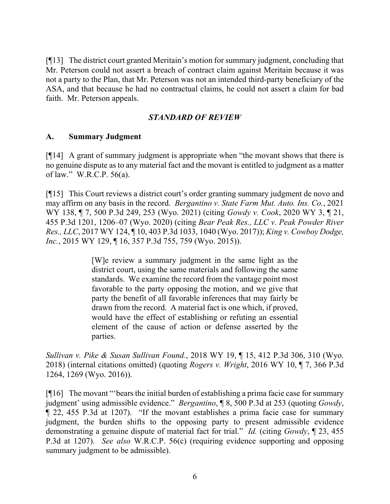[¶13] The district court granted Meritain's motion for summary judgment, concluding that Mr. Peterson could not assert a breach of contract claim against Meritain because it was not a party to the Plan, that Mr. Peterson was not an intended third-party beneficiary of the ASA, and that because he had no contractual claims, he could not assert a claim for bad faith. Mr. Peterson appeals.

### *STANDARD OF REVIEW*

### **A. Summary Judgment**

[¶14] A grant of summary judgment is appropriate when "the movant shows that there is no genuine dispute as to any material fact and the movant is entitled to judgment as a matter of law." W.R.C.P. 56(a).

[¶15] This Court reviews a district court's order granting summary judgment de novo and may affirm on any basis in the record. *Bergantino v. State Farm Mut. Auto. Ins. Co.*, 2021 WY 138, ¶ 7, 500 P.3d 249, 253 (Wyo. 2021) (citing *Gowdy v. Cook*, 2020 WY 3, ¶ 21, 455 P.3d 1201, 1206–07 (Wyo. 2020) (citing *Bear Peak Res., LLC v. Peak Powder River Res., LLC*, 2017 WY 124, ¶ 10, 403 P.3d 1033, 1040 (Wyo. 2017)); *King v. Cowboy Dodge, Inc.*, 2015 WY 129, ¶ 16, 357 P.3d 755, 759 (Wyo. 2015)).

> [W]e review a summary judgment in the same light as the district court, using the same materials and following the same standards. We examine the record from the vantage point most favorable to the party opposing the motion, and we give that party the benefit of all favorable inferences that may fairly be drawn from the record. A material fact is one which, if proved, would have the effect of establishing or refuting an essential element of the cause of action or defense asserted by the parties.

*Sullivan v. Pike & Susan Sullivan Found.*, 2018 WY 19, ¶ 15, 412 P.3d 306, 310 (Wyo. 2018) (internal citations omitted) (quoting *Rogers v. Wright*, 2016 WY 10, ¶ 7, 366 P.3d 1264, 1269 (Wyo. 2016)).

[¶16] The movant "'bears the initial burden of establishing a prima facie case for summary judgment' using admissible evidence." *Bergantino*, ¶ 8, 500 P.3d at 253 (quoting *Gowdy*, ¶ 22, 455 P.3d at 1207). "If the movant establishes a prima facie case for summary judgment, the burden shifts to the opposing party to present admissible evidence demonstrating a genuine dispute of material fact for trial." *Id.* (citing *Gowdy*, ¶ 23, 455 P.3d at 1207). *See also* W.R.C.P. 56(c) (requiring evidence supporting and opposing summary judgment to be admissible).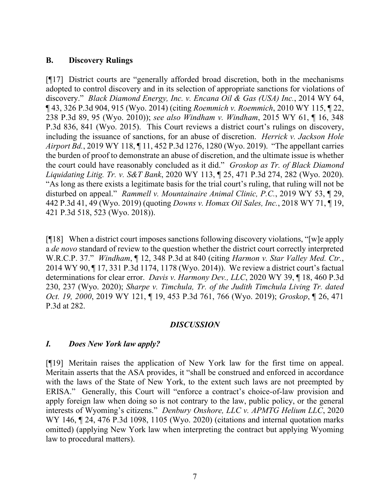### **B. Discovery Rulings**

[¶17] District courts are "generally afforded broad discretion, both in the mechanisms adopted to control discovery and in its selection of appropriate sanctions for violations of discovery." *Black Diamond Energy, Inc. v. Encana Oil & Gas (USA) Inc.*, 2014 WY 64, ¶ 43, 326 P.3d 904, 915 (Wyo. 2014) (citing *Roemmich v. Roemmich*, 2010 WY 115, ¶ 22, 238 P.3d 89, 95 (Wyo. 2010)); *see also Windham v. Windham*, 2015 WY 61, ¶ 16, 348 P.3d 836, 841 (Wyo. 2015). This Court reviews a district court's rulings on discovery, including the issuance of sanctions, for an abuse of discretion. *Herrick v. Jackson Hole Airport Bd.*, 2019 WY 118, ¶ 11, 452 P.3d 1276, 1280 (Wyo. 2019). "The appellant carries the burden of proof to demonstrate an abuse of discretion, and the ultimate issue is whether the court could have reasonably concluded as it did." *Groskop as Tr. of Black Diamond Liquidating Litig. Tr. v. S&T Bank*, 2020 WY 113, ¶ 25, 471 P.3d 274, 282 (Wyo. 2020). "As long as there exists a legitimate basis for the trial court's ruling, that ruling will not be disturbed on appeal." *Rammell v. Mountainaire Animal Clinic, P.C.*, 2019 WY 53, ¶ 29, 442 P.3d 41, 49 (Wyo. 2019) (quoting *Downs v. Homax Oil Sales, Inc.*, 2018 WY 71, ¶ 19, 421 P.3d 518, 523 (Wyo. 2018)).

[¶18] When a district court imposes sanctions following discovery violations, "[w]e apply a *de novo* standard of review to the question whether the district court correctly interpreted W.R.C.P. 37." *Windham*, ¶ 12, 348 P.3d at 840 (citing *Harmon v. Star Valley Med. Ctr.*, 2014 WY 90, ¶ 17, 331 P.3d 1174, 1178 (Wyo. 2014)). We review a district court's factual determinations for clear error. *Davis v. Harmony Dev., LLC*, 2020 WY 39, ¶ 18, 460 P.3d 230, 237 (Wyo. 2020); *Sharpe v. Timchula, Tr. of the Judith Timchula Living Tr. dated Oct. 19, 2000*, 2019 WY 121, ¶ 19, 453 P.3d 761, 766 (Wyo. 2019); *Groskop*, ¶ 26, 471 P.3d at 282.

### *DISCUSSION*

### *I. Does New York law apply?*

[¶19] Meritain raises the application of New York law for the first time on appeal. Meritain asserts that the ASA provides, it "shall be construed and enforced in accordance with the laws of the State of New York, to the extent such laws are not preempted by ERISA." Generally, this Court will "enforce a contract's choice-of-law provision and apply foreign law when doing so is not contrary to the law, public policy, or the general interests of Wyoming's citizens." *Denbury Onshore, LLC v. APMTG Helium LLC*, 2020 WY 146, 124, 476 P.3d 1098, 1105 (Wyo. 2020) (citations and internal quotation marks omitted) (applying New York law when interpreting the contract but applying Wyoming law to procedural matters).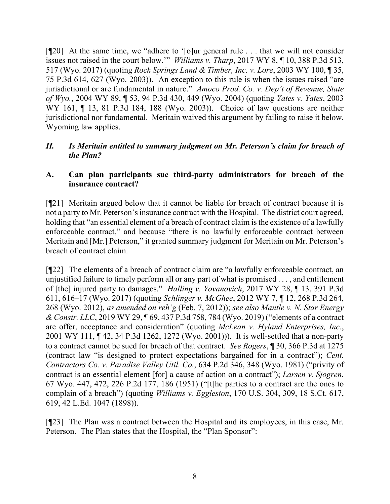[¶20] At the same time, we "adhere to '[o]ur general rule . . . that we will not consider issues not raised in the court below.'" *Williams v. Tharp*, 2017 WY 8, ¶ 10, 388 P.3d 513, 517 (Wyo. 2017) (quoting *Rock Springs Land & Timber, Inc. v. Lore*, 2003 WY 100, ¶ 35, 75 P.3d 614, 627 (Wyo. 2003)). An exception to this rule is when the issues raised "are jurisdictional or are fundamental in nature." *Amoco Prod. Co. v. Dep't of Revenue, State of Wyo.*, 2004 WY 89, ¶ 53, 94 P.3d 430, 449 (Wyo. 2004) (quoting *Yates v. Yates*, 2003 WY 161, ¶ 13, 81 P.3d 184, 188 (Wyo. 2003)). Choice of law questions are neither jurisdictional nor fundamental. Meritain waived this argument by failing to raise it below. Wyoming law applies.

### *II. Is Meritain entitled to summary judgment on Mr. Peterson's claim for breach of the Plan?*

## **A. Can plan participants sue third-party administrators for breach of the insurance contract?**

[¶21] Meritain argued below that it cannot be liable for breach of contract because it is not a party to Mr. Peterson's insurance contract with the Hospital. The district court agreed, holding that "an essential element of a breach of contract claim is the existence of a lawfully enforceable contract," and because "there is no lawfully enforceable contract between Meritain and [Mr.] Peterson," it granted summary judgment for Meritain on Mr. Peterson's breach of contract claim.

[¶22] The elements of a breach of contract claim are "a lawfully enforceable contract, an unjustified failure to timely perform all or any part of what is promised . . . , and entitlement of [the] injured party to damages." *Halling v. Yovanovich*, 2017 WY 28, ¶ 13, 391 P.3d 611, 616–17 (Wyo. 2017) (quoting *Schlinger v. McGhee*, 2012 WY 7, ¶ 12, 268 P.3d 264, 268 (Wyo. 2012), *as amended on reh'g* (Feb. 7, 2012)); *see also Mantle v. N. Star Energy & Constr. LLC*, 2019 WY 29, ¶ 69, 437 P.3d 758, 784 (Wyo. 2019) ("elements of a contract are offer, acceptance and consideration" (quoting *McLean v. Hyland Enterprises, Inc.*, 2001 WY 111, ¶ 42, 34 P.3d 1262, 1272 (Wyo. 2001))). It is well-settled that a non-party to a contract cannot be sued for breach of that contract. *See Rogers*, ¶ 30, 366 P.3d at 1275 (contract law "is designed to protect expectations bargained for in a contract"); *Cent. Contractors Co. v. Paradise Valley Util. Co.*, 634 P.2d 346, 348 (Wyo. 1981) ("privity of contract is an essential element [for] a cause of action on a contract"); *Larsen v. Sjogren*, 67 Wyo. 447, 472, 226 P.2d 177, 186 (1951) ("[t]he parties to a contract are the ones to complain of a breach") (quoting *Williams v. Eggleston*, 170 U.S. 304, 309, 18 S.Ct. 617, 619, 42 L.Ed. 1047 (1898)).

[¶23] The Plan was a contract between the Hospital and its employees, in this case, Mr. Peterson. The Plan states that the Hospital, the "Plan Sponsor":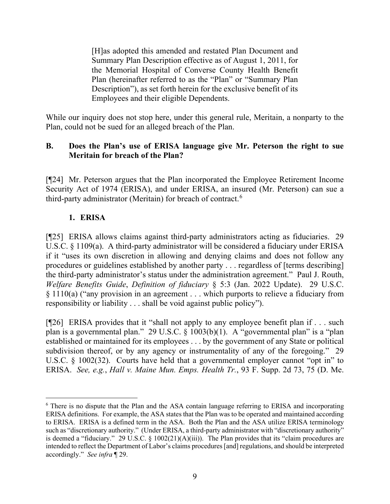[H]as adopted this amended and restated Plan Document and Summary Plan Description effective as of August 1, 2011, for the Memorial Hospital of Converse County Health Benefit Plan (hereinafter referred to as the "Plan" or "Summary Plan Description"), as set forth herein for the exclusive benefit of its Employees and their eligible Dependents.

While our inquiry does not stop here, under this general rule, Meritain, a nonparty to the Plan, could not be sued for an alleged breach of the Plan.

### **B. Does the Plan's use of ERISA language give Mr. Peterson the right to sue Meritain for breach of the Plan?**

[¶24] Mr. Peterson argues that the Plan incorporated the Employee Retirement Income Security Act of 1974 (ERISA), and under ERISA, an insured (Mr. Peterson) can sue a third-party administrator (Meritain) for breach of contract.<sup>[6](#page-9-0)</sup>

### **1. ERISA**

[¶25] ERISA allows claims against third-party administrators acting as fiduciaries. 29 U.S.C. § 1109(a). A third-party administrator will be considered a fiduciary under ERISA if it "uses its own discretion in allowing and denying claims and does not follow any procedures or guidelines established by another party . . . regardless of [terms describing] the third-party administrator's status under the administration agreement." Paul J. Routh, *Welfare Benefits Guide*, *Definition of fiduciary* § 5:3 (Jan. 2022 Update). 29 U.S.C. § 1110(a) ("any provision in an agreement . . . which purports to relieve a fiduciary from responsibility or liability . . . shall be void against public policy").

[ $[$ 26] ERISA provides that it "shall not apply to any employee benefit plan if . . . such plan is a governmental plan." 29 U.S.C. § 1003(b)(1). A "governmental plan" is a "plan established or maintained for its employees . . . by the government of any State or political subdivision thereof, or by any agency or instrumentality of any of the foregoing." 29 U.S.C. § 1002(32). Courts have held that a governmental employer cannot "opt in" to ERISA. *See, e.g.*, *Hall v. Maine Mun. Emps. Health Tr.*, 93 F. Supp. 2d 73, 75 (D. Me.

<span id="page-9-0"></span><sup>&</sup>lt;sup>6</sup> There is no dispute that the Plan and the ASA contain language referring to ERISA and incorporating ERISA definitions. For example, the ASA states that the Plan was to be operated and maintained according to ERISA. ERISA is a defined term in the ASA. Both the Plan and the ASA utilize ERISA terminology such as "discretionary authority." (Under ERISA, a third-party administrator with "discretionary authority" is deemed a "fiduciary." 29 U.S.C. § 1002(21)(A)(iii)). The Plan provides that its "claim procedures are intended to reflect the Department of Labor's claims procedures[and] regulations, and should be interpreted accordingly." *See infra* ¶ 29.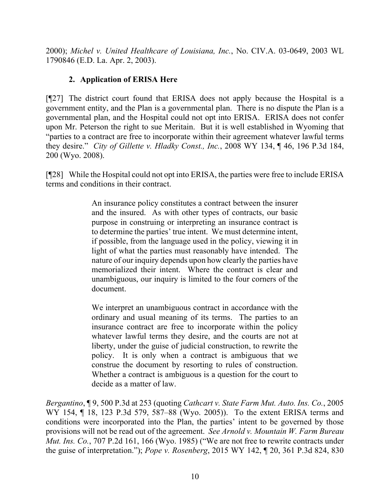2000); *Michel v. United Healthcare of Louisiana, Inc.*, No. CIV.A. 03-0649, 2003 WL 1790846 (E.D. La. Apr. 2, 2003).

# **2. Application of ERISA Here**

[¶27] The district court found that ERISA does not apply because the Hospital is a government entity, and the Plan is a governmental plan. There is no dispute the Plan is a governmental plan, and the Hospital could not opt into ERISA. ERISA does not confer upon Mr. Peterson the right to sue Meritain. But it is well established in Wyoming that "parties to a contract are free to incorporate within their agreement whatever lawful terms they desire." *City of Gillette v. Hladky Const., Inc.*, 2008 WY 134, ¶ 46, 196 P.3d 184, 200 (Wyo. 2008).

[¶28] While the Hospital could not opt into ERISA, the parties were free to include ERISA terms and conditions in their contract.

> An insurance policy constitutes a contract between the insurer and the insured. As with other types of contracts, our basic purpose in construing or interpreting an insurance contract is to determine the parties' true intent. We must determine intent, if possible, from the language used in the policy, viewing it in light of what the parties must reasonably have intended. The nature of our inquiry depends upon how clearly the parties have memorialized their intent. Where the contract is clear and unambiguous, our inquiry is limited to the four corners of the document.

> We interpret an unambiguous contract in accordance with the ordinary and usual meaning of its terms. The parties to an insurance contract are free to incorporate within the policy whatever lawful terms they desire, and the courts are not at liberty, under the guise of judicial construction, to rewrite the policy. It is only when a contract is ambiguous that we construe the document by resorting to rules of construction. Whether a contract is ambiguous is a question for the court to decide as a matter of law.

*Bergantino*, ¶ 9, 500 P.3d at 253 (quoting *Cathcart v. State Farm Mut. Auto. Ins. Co.*, 2005 WY 154, ¶ 18, 123 P.3d 579, 587–88 (Wyo. 2005)). To the extent ERISA terms and conditions were incorporated into the Plan, the parties' intent to be governed by those provisions will not be read out of the agreement. *See Arnold v. Mountain W. Farm Bureau Mut. Ins. Co.*, 707 P.2d 161, 166 (Wyo. 1985) ("We are not free to rewrite contracts under the guise of interpretation."); *Pope v. Rosenberg*, 2015 WY 142, ¶ 20, 361 P.3d 824, 830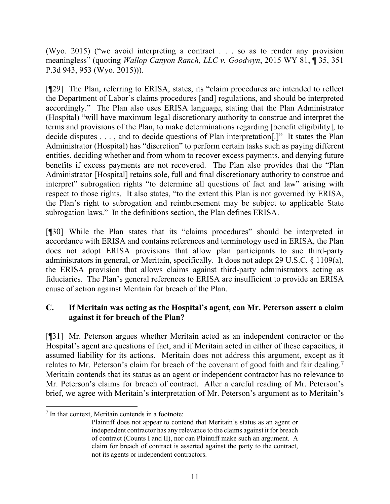(Wyo. 2015) ("we avoid interpreting a contract . . . so as to render any provision meaningless" (quoting *Wallop Canyon Ranch, LLC v. Goodwyn*, 2015 WY 81, ¶ 35, 351 P.3d 943, 953 (Wyo. 2015))).

[¶29] The Plan, referring to ERISA, states, its "claim procedures are intended to reflect the Department of Labor's claims procedures [and] regulations, and should be interpreted accordingly." The Plan also uses ERISA language, stating that the Plan Administrator (Hospital) "will have maximum legal discretionary authority to construe and interpret the terms and provisions of the Plan, to make determinations regarding [benefit eligibility], to decide disputes . . . , and to decide questions of Plan interpretation[.]" It states the Plan Administrator (Hospital) has "discretion" to perform certain tasks such as paying different entities, deciding whether and from whom to recover excess payments, and denying future benefits if excess payments are not recovered. The Plan also provides that the "Plan Administrator [Hospital] retains sole, full and final discretionary authority to construe and interpret" subrogation rights "to determine all questions of fact and law" arising with respect to those rights. It also states, "to the extent this Plan is not governed by ERISA, the Plan's right to subrogation and reimbursement may be subject to applicable State subrogation laws." In the definitions section, the Plan defines ERISA.

[¶30] While the Plan states that its "claims procedures" should be interpreted in accordance with ERISA and contains references and terminology used in ERISA, the Plan does not adopt ERISA provisions that allow plan participants to sue third-party administrators in general, or Meritain, specifically. It does not adopt 29 U.S.C. § 1109(a), the ERISA provision that allows claims against third-party administrators acting as fiduciaries. The Plan's general references to ERISA are insufficient to provide an ERISA cause of action against Meritain for breach of the Plan.

## **C. If Meritain was acting as the Hospital's agent, can Mr. Peterson assert a claim against it for breach of the Plan?**

[¶31] Mr. Peterson argues whether Meritain acted as an independent contractor or the Hospital's agent are questions of fact, and if Meritain acted in either of these capacities, it assumed liability for its actions. Meritain does not address this argument, except as it relates to Mr. Peterson's claim for breach of the covenant of good faith and fair dealing.<sup>[7](#page-11-0)</sup> Meritain contends that its status as an agent or independent contractor has no relevance to Mr. Peterson's claims for breach of contract. After a careful reading of Mr. Peterson's brief, we agree with Meritain's interpretation of Mr. Peterson's argument as to Meritain's

<span id="page-11-0"></span> $<sup>7</sup>$  In that context. Meritain contends in a footnote:</sup>

Plaintiff does not appear to contend that Meritain's status as an agent or independent contractor has any relevance to the claims against it for breach of contract (Counts I and II), nor can Plaintiff make such an argument. A claim for breach of contract is asserted against the party to the contract, not its agents or independent contractors.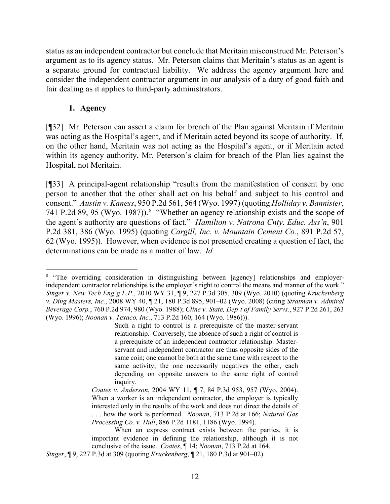status as an independent contractor but conclude that Meritain misconstrued Mr. Peterson's argument as to its agency status. Mr. Peterson claims that Meritain's status as an agent is a separate ground for contractual liability. We address the agency argument here and consider the independent contractor argument in our analysis of a duty of good faith and fair dealing as it applies to third-party administrators.

### **1. Agency**

[¶32] Mr. Peterson can assert a claim for breach of the Plan against Meritain if Meritain was acting as the Hospital's agent, and if Meritain acted beyond its scope of authority. If, on the other hand, Meritain was not acting as the Hospital's agent, or if Meritain acted within its agency authority, Mr. Peterson's claim for breach of the Plan lies against the Hospital, not Meritain.

[¶33] A principal-agent relationship "results from the manifestation of consent by one person to another that the other shall act on his behalf and subject to his control and consent." *Austin v. Kaness*, 950 P.2d 561, 564 (Wyo. 1997) (quoting *Holliday v. Bannister*, 741 P.2d [8](#page-12-0)9, 95 (Wyo. 1987)).<sup>8</sup> "Whether an agency relationship exists and the scope of the agent's authority are questions of fact." *Hamilton v. Natrona Cnty. Educ. Ass'n*, 901 P.2d 381, 386 (Wyo. 1995) (quoting *Cargill, Inc. v. Mountain Cement Co.*, 891 P.2d 57, 62 (Wyo. 1995)). However, when evidence is not presented creating a question of fact, the determinations can be made as a matter of law. *Id.*

<span id="page-12-0"></span><sup>&</sup>lt;sup>8</sup> "The overriding consideration in distinguishing between [agency] relationships and employerindependent contractor relationships is the employer's right to control the means and manner of the work." *Singer v. New Tech Eng'g L.P.*, 2010 WY 31, ¶ 9, 227 P.3d 305, 309 (Wyo. 2010) (quoting *Kruckenberg v. Ding Masters, Inc.*, 2008 WY 40, ¶ 21, 180 P.3d 895, 901–02 (Wyo. 2008) (citing *Stratman v. Admiral Beverage Corp.*, 760 P.2d 974, 980 (Wyo. 1988); *Cline v. State, Dep't of Family Servs.*, 927 P.2d 261, 263 (Wyo. 1996); *Noonan v. Texaco, Inc.*, 713 P.2d 160, 164 (Wyo. 1986))).

Such a right to control is a prerequisite of the master-servant relationship. Conversely, the absence of such a right of control is a prerequisite of an independent contractor relationship. Masterservant and independent contractor are thus opposite sides of the same coin; one cannot be both at the same time with respect to the same activity; the one necessarily negatives the other, each depending on opposite answers to the same right of control inquiry.

*Coates v. Anderson*, 2004 WY 11, ¶ 7, 84 P.3d 953, 957 (Wyo. 2004). When a worker is an independent contractor, the employer is typically interested only in the results of the work and does not direct the details of . . . how the work is performed. *Noonan*, 713 P.2d at 166; *Natural Gas Processing Co. v. Hull*, 886 P.2d 1181, 1186 (Wyo. 1994).

When an express contract exists between the parties, it is important evidence in defining the relationship, although it is not conclusive of the issue. *Coates*, ¶ 14; *Noonan*, 713 P.2d at 164.

*Singer*, ¶ 9, 227 P.3d at 309 (quoting *Kruckenberg*, ¶ 21, 180 P.3d at 901–02).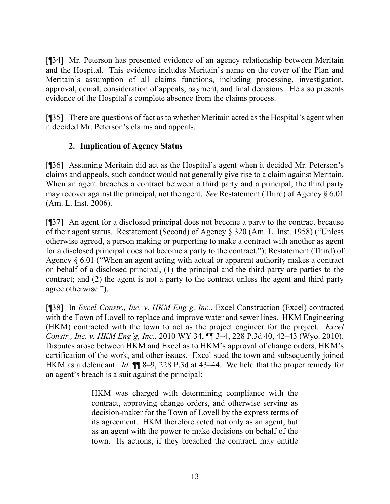[¶34] Mr. Peterson has presented evidence of an agency relationship between Meritain and the Hospital. This evidence includes Meritain's name on the cover of the Plan and Meritain's assumption of all claims functions, including processing, investigation, approval, denial, consideration of appeals, payment, and final decisions. He also presents evidence of the Hospital's complete absence from the claims process.

[¶35] There are questions of fact as to whether Meritain acted as the Hospital's agent when it decided Mr. Peterson's claims and appeals.

# **2. Implication of Agency Status**

[¶36] Assuming Meritain did act as the Hospital's agent when it decided Mr. Peterson's claims and appeals, such conduct would not generally give rise to a claim against Meritain. When an agent breaches a contract between a third party and a principal, the third party may recover against the principal, not the agent. *See* Restatement (Third) of Agency § 6.01 (Am. L. Inst. 2006).

[¶37] An agent for a disclosed principal does not become a party to the contract because of their agent status. Restatement (Second) of Agency § 320 (Am. L. Inst. 1958) ("Unless otherwise agreed, a person making or purporting to make a contract with another as agent for a disclosed principal does not become a party to the contract."); Restatement (Third) of Agency § 6.01 ("When an agent acting with actual or apparent authority makes a contract on behalf of a disclosed principal, (1) the principal and the third party are parties to the contract; and (2) the agent is not a party to the contract unless the agent and third party agree otherwise.").

[¶38] In *Excel Constr., Inc. v. HKM Eng'g, Inc.*, Excel Construction (Excel) contracted with the Town of Lovell to replace and improve water and sewer lines. HKM Engineering (HKM) contracted with the town to act as the project engineer for the project. *Excel Constr., Inc. v. HKM Eng'g, Inc.*, 2010 WY 34, ¶¶ 3–4, 228 P.3d 40, 42–43 (Wyo. 2010). Disputes arose between HKM and Excel as to HKM's approval of change orders, HKM's certification of the work, and other issues. Excel sued the town and subsequently joined HKM as a defendant. *Id.*  $\P\P$  8–9, 228 P.3d at 43–44. We held that the proper remedy for an agent's breach is a suit against the principal:

> HKM was charged with determining compliance with the contract, approving change orders, and otherwise serving as decision-maker for the Town of Lovell by the express terms of its agreement. HKM therefore acted not only as an agent, but as an agent with the power to make decisions on behalf of the town. Its actions, if they breached the contract, may entitle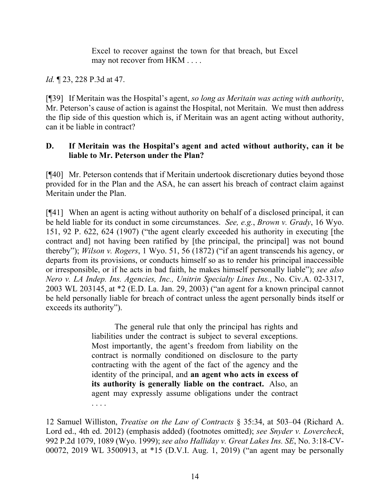Excel to recover against the town for that breach, but Excel may not recover from HKM . . . .

*Id.* ¶ 23, 228 P.3d at 47.

[¶39] If Meritain was the Hospital's agent, *so long as Meritain was acting with authority*, Mr. Peterson's cause of action is against the Hospital, not Meritain. We must then address the flip side of this question which is, if Meritain was an agent acting without authority, can it be liable in contract?

### **D. If Meritain was the Hospital's agent and acted without authority, can it be liable to Mr. Peterson under the Plan?**

[¶40] Mr. Peterson contends that if Meritain undertook discretionary duties beyond those provided for in the Plan and the ASA, he can assert his breach of contract claim against Meritain under the Plan.

[¶41] When an agent is acting without authority on behalf of a disclosed principal, it can be held liable for its conduct in some circumstances. *See, e.g.*, *Brown v. Grady*, 16 Wyo. 151, 92 P. 622, 624 (1907) ("the agent clearly exceeded his authority in executing [the contract and] not having been ratified by [the principal, the principal] was not bound thereby"); *Wilson v. Rogers*, 1 Wyo. 51, 56 (1872) ("if an agent transcends his agency, or departs from its provisions, or conducts himself so as to render his principal inaccessible or irresponsible, or if he acts in bad faith, he makes himself personally liable"); *see also Nero v. LA Indep. Ins. Agencies, Inc., Unitrin Specialty Lines Ins.*, No. Civ.A. 02-3317, 2003 WL 203145, at \*2 (E.D. La. Jan. 29, 2003) ("an agent for a known principal cannot be held personally liable for breach of contract unless the agent personally binds itself or exceeds its authority").

> The general rule that only the principal has rights and liabilities under the contract is subject to several exceptions. Most importantly, the agent's freedom from liability on the contract is normally conditioned on disclosure to the party contracting with the agent of the fact of the agency and the identity of the principal, and **an agent who acts in excess of its authority is generally liable on the contract.** Also, an agent may expressly assume obligations under the contract . . . .

12 Samuel Williston, *Treatise on the Law of Contracts* § 35:34, at 503–04 (Richard A. Lord ed., 4th ed. 2012) (emphasis added) (footnotes omitted); *see Snyder v. Lovercheck*, 992 P.2d 1079, 1089 (Wyo. 1999); *see also Halliday v. Great Lakes Ins. SE*, No. 3:18-CV-00072, 2019 WL 3500913, at \*15 (D.V.I. Aug. 1, 2019) ("an agent may be personally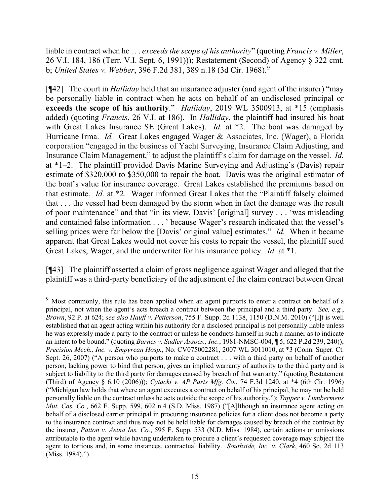liable in contract when he . . . *exceeds the scope of his authority*" (quoting *Francis v. Miller*, 26 V.I. 184, 186 (Terr. V.I. Sept. 6, 1991))); Restatement (Second) of Agency § 322 cmt. b; *United States v. Webber*, 396 F.2d 381, 389 n.18 (3d Cir. 1968).[9](#page-15-0)

[¶42] The court in *Halliday* held that an insurance adjuster (and agent of the insurer) "may be personally liable in contract when he acts on behalf of an undisclosed principal or **exceeds the scope of his authority**." *Halliday*, 2019 WL 3500913, at \*15 (emphasis added) (quoting *Francis*, 26 V.I. at 186). In *Halliday*, the plaintiff had insured his boat with Great Lakes Insurance SE (Great Lakes). *Id.* at \*2. The boat was damaged by Hurricane Irma. *Id.* Great Lakes engaged Wager & Associates, Inc. (Wager), a Florida corporation "engaged in the business of Yacht Surveying, Insurance Claim Adjusting, and Insurance Claim Management," to adjust the plaintiff's claim for damage on the vessel. *Id.*  at \*1–2. The plaintiff provided Davis Marine Surveying and Adjusting's (Davis) repair estimate of \$320,000 to \$350,000 to repair the boat. Davis was the original estimator of the boat's value for insurance coverage. Great Lakes established the premiums based on that estimate. *Id.* at \*2. Wager informed Great Lakes that the "Plaintiff falsely claimed that . . . the vessel had been damaged by the storm when in fact the damage was the result of poor maintenance" and that "in its view, Davis' [original] survey . . . 'was misleading and contained false information . . . ' because Wager's research indicated that the vessel's selling prices were far below the [Davis' original value] estimates." *Id.* When it became apparent that Great Lakes would not cover his costs to repair the vessel, the plaintiff sued Great Lakes, Wager, and the underwriter for his insurance policy. *Id.* at \*1.

[¶43] The plaintiff asserted a claim of gross negligence against Wager and alleged that the plaintiff was a third-party beneficiary of the adjustment of the claim contract between Great

<span id="page-15-0"></span><sup>&</sup>lt;sup>9</sup> Most commonly, this rule has been applied when an agent purports to enter a contract on behalf of a principal, not when the agent's acts breach a contract between the principal and a third party. *See, e.g.*, *Brown*, 92 P. at 624; *see also Hauff v. Petterson*, 755 F. Supp. 2d 1138, 1150 (D.N.M. 2010) ("[I]t is well established that an agent acting within his authority for a disclosed principal is not personally liable unless he was expressly made a party to the contract or unless he conducts himself in such a manner as to indicate an intent to be bound." (quoting *Barnes v. Sadler Assocs., Inc.*, 1981-NMSC-004, ¶ 5, 622 P.2d 239, 240)); *Precision Mech., Inc. v. Empyrean Hosp.*, No. CV075002281, 2007 WL 3011010, at \*3 (Conn. Super. Ct. Sept. 26, 2007) ("A person who purports to make a contract . . . with a third party on behalf of another person, lacking power to bind that person, gives an implied warranty of authority to the third party and is subject to liability to the third party for damages caused by breach of that warranty." (quoting Restatement (Third) of Agency § 6.10 (2006))); *Cytacki v. AP Parts Mfg. Co.*, 74 F.3d 1240, at \*4 (6th Cir. 1996) ("Michigan law holds that where an agent executes a contract on behalf of his principal, he may not be held personally liable on the contract unless he acts outside the scope of his authority."); *Tapper v. Lumbermens Mut. Cas. Co.*, 662 F. Supp. 599, 602 n.4 (S.D. Miss. 1987) ("[A]lthough an insurance agent acting on behalf of a disclosed carrier principal in procuring insurance policies for a client does not become a party to the insurance contract and thus may not be held liable for damages caused by breach of the contract by the insurer, *Patton v. Aetna Ins. Co.*, 595 F. Supp. 533 (N.D. Miss. 1984), certain actions or omissions attributable to the agent while having undertaken to procure a client's requested coverage may subject the agent to tortious and, in some instances, contractual liability. *Southside, Inc. v. Clark*, 460 So. 2d 113 (Miss. 1984).").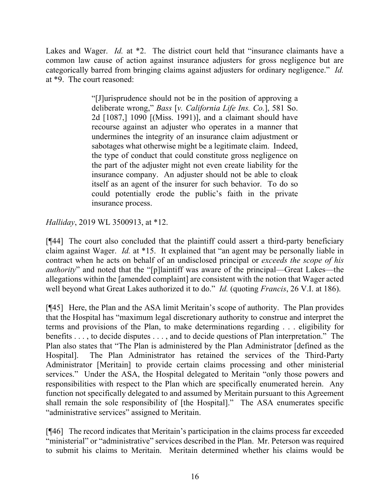Lakes and Wager. *Id.* at \*2. The district court held that "insurance claimants have a common law cause of action against insurance adjusters for gross negligence but are categorically barred from bringing claims against adjusters for ordinary negligence." *Id.*  at \*9. The court reasoned:

> "[J]urisprudence should not be in the position of approving a deliberate wrong," *Bass* [*v. California Life Ins. Co.*], 581 So. 2d [1087,] 1090 [(Miss. 1991)], and a claimant should have recourse against an adjuster who operates in a manner that undermines the integrity of an insurance claim adjustment or sabotages what otherwise might be a legitimate claim. Indeed, the type of conduct that could constitute gross negligence on the part of the adjuster might not even create liability for the insurance company. An adjuster should not be able to cloak itself as an agent of the insurer for such behavior. To do so could potentially erode the public's faith in the private insurance process.

*Halliday*, 2019 WL 3500913, at \*12.

[¶44] The court also concluded that the plaintiff could assert a third-party beneficiary claim against Wager. *Id.* at \*15. It explained that "an agent may be personally liable in contract when he acts on behalf of an undisclosed principal or *exceeds the scope of his authority*" and noted that the "[p]laintiff was aware of the principal—Great Lakes—the allegations within the [amended complaint] are consistent with the notion that Wager acted well beyond what Great Lakes authorized it to do." *Id.* (quoting *Francis*, 26 V.I. at 186).

[¶45] Here, the Plan and the ASA limit Meritain's scope of authority. The Plan provides that the Hospital has "maximum legal discretionary authority to construe and interpret the terms and provisions of the Plan, to make determinations regarding . . . eligibility for benefits . . . , to decide disputes . . . , and to decide questions of Plan interpretation." The Plan also states that "The Plan is administered by the Plan Administrator [defined as the Hospital]. The Plan Administrator has retained the services of the Third-Party Administrator [Meritain] to provide certain claims processing and other ministerial services." Under the ASA, the Hospital delegated to Meritain "only those powers and responsibilities with respect to the Plan which are specifically enumerated herein. Any function not specifically delegated to and assumed by Meritain pursuant to this Agreement shall remain the sole responsibility of [the Hospital]." The ASA enumerates specific "administrative services" assigned to Meritain.

[¶46] The record indicates that Meritain's participation in the claims process far exceeded "ministerial" or "administrative" services described in the Plan. Mr. Peterson was required to submit his claims to Meritain. Meritain determined whether his claims would be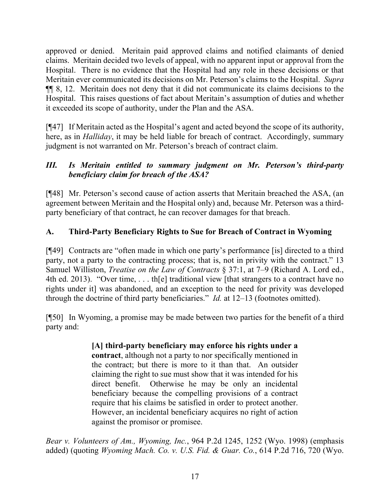approved or denied. Meritain paid approved claims and notified claimants of denied claims. Meritain decided two levels of appeal, with no apparent input or approval from the Hospital. There is no evidence that the Hospital had any role in these decisions or that Meritain ever communicated its decisions on Mr. Peterson's claims to the Hospital. *Supra*  ¶¶ 8, 12. Meritain does not deny that it did not communicate its claims decisions to the Hospital. This raises questions of fact about Meritain's assumption of duties and whether it exceeded its scope of authority, under the Plan and the ASA.

[¶47] If Meritain acted as the Hospital's agent and acted beyond the scope of its authority, here, as in *Halliday*, it may be held liable for breach of contract. Accordingly, summary judgment is not warranted on Mr. Peterson's breach of contract claim.

# *III. Is Meritain entitled to summary judgment on Mr. Peterson's third-party beneficiary claim for breach of the ASA?*

[¶48] Mr. Peterson's second cause of action asserts that Meritain breached the ASA, (an agreement between Meritain and the Hospital only) and, because Mr. Peterson was a thirdparty beneficiary of that contract, he can recover damages for that breach.

# **A. Third-Party Beneficiary Rights to Sue for Breach of Contract in Wyoming**

[¶49] Contracts are "often made in which one party's performance [is] directed to a third party, not a party to the contracting process; that is, not in privity with the contract." 13 Samuel Williston, *Treatise on the Law of Contracts* § 37:1, at 7–9 (Richard A. Lord ed., 4th ed. 2013). "Over time, . . . th[e] traditional view [that strangers to a contract have no rights under it] was abandoned, and an exception to the need for privity was developed through the doctrine of third party beneficiaries." *Id.* at 12–13 (footnotes omitted).

[¶50] In Wyoming, a promise may be made between two parties for the benefit of a third party and:

> **[A] third-party beneficiary may enforce his rights under a contract**, although not a party to nor specifically mentioned in the contract; but there is more to it than that. An outsider claiming the right to sue must show that it was intended for his direct benefit. Otherwise he may be only an incidental beneficiary because the compelling provisions of a contract require that his claims be satisfied in order to protect another. However, an incidental beneficiary acquires no right of action against the promisor or promisee.

*Bear v. Volunteers of Am., Wyoming, Inc.*, 964 P.2d 1245, 1252 (Wyo. 1998) (emphasis added) (quoting *Wyoming Mach. Co. v. U.S. Fid. & Guar. Co.*, 614 P.2d 716, 720 (Wyo.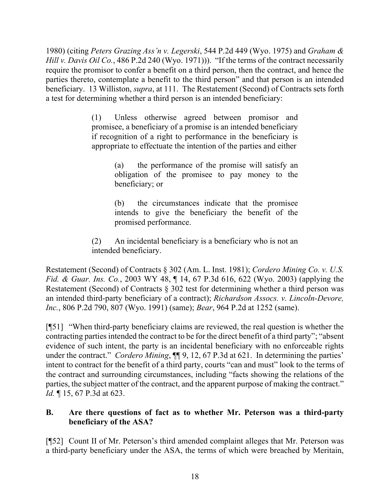1980) (citing *Peters Grazing Ass'n v. Legerski*, 544 P.2d 449 (Wyo. 1975) and *Graham & Hill v. Davis Oil Co.*, 486 P.2d 240 (Wyo. 1971))). "If the terms of the contract necessarily require the promisor to confer a benefit on a third person, then the contract, and hence the parties thereto, contemplate a benefit to the third person" and that person is an intended beneficiary. 13 Williston, *supra*, at 111. The Restatement (Second) of Contracts sets forth a test for determining whether a third person is an intended beneficiary:

> (1) Unless otherwise agreed between promisor and promisee, a beneficiary of a promise is an intended beneficiary if recognition of a right to performance in the beneficiary is appropriate to effectuate the intention of the parties and either

> > (a) the performance of the promise will satisfy an obligation of the promisee to pay money to the beneficiary; or

> > (b) the circumstances indicate that the promisee intends to give the beneficiary the benefit of the promised performance.

(2) An incidental beneficiary is a beneficiary who is not an intended beneficiary.

Restatement (Second) of Contracts § 302 (Am. L. Inst. 1981); *Cordero Mining Co. v. U.S. Fid. & Guar. Ins. Co.*, 2003 WY 48, ¶ 14, 67 P.3d 616, 622 (Wyo. 2003) (applying the Restatement (Second) of Contracts § 302 test for determining whether a third person was an intended third-party beneficiary of a contract); *Richardson Assocs. v. Lincoln-Devore, Inc.*, 806 P.2d 790, 807 (Wyo. 1991) (same); *Bear*, 964 P.2d at 1252 (same).

[¶51] "When third-party beneficiary claims are reviewed, the real question is whether the contracting parties intended the contract to be for the direct benefit of a third party"; "absent evidence of such intent, the party is an incidental beneficiary with no enforceable rights under the contract." *Cordero Mining*,  $\P\P$  9, 12, 67 P.3d at 621. In determining the parties' intent to contract for the benefit of a third party, courts "can and must" look to the terms of the contract and surrounding circumstances, including "facts showing the relations of the parties, the subject matter of the contract, and the apparent purpose of making the contract." *Id.* ¶ 15, 67 P.3d at 623.

## **B. Are there questions of fact as to whether Mr. Peterson was a third-party beneficiary of the ASA?**

[¶52] Count II of Mr. Peterson's third amended complaint alleges that Mr. Peterson was a third-party beneficiary under the ASA, the terms of which were breached by Meritain,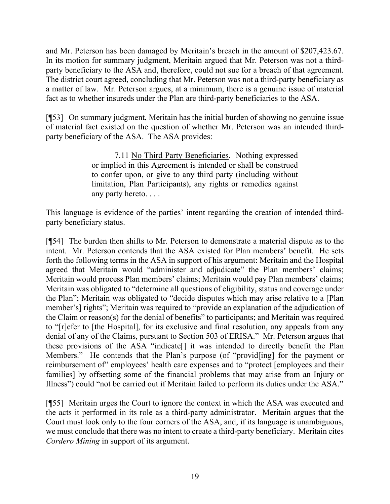and Mr. Peterson has been damaged by Meritain's breach in the amount of \$207,423.67. In its motion for summary judgment, Meritain argued that Mr. Peterson was not a thirdparty beneficiary to the ASA and, therefore, could not sue for a breach of that agreement. The district court agreed, concluding that Mr. Peterson was not a third-party beneficiary as a matter of law. Mr. Peterson argues, at a minimum, there is a genuine issue of material fact as to whether insureds under the Plan are third-party beneficiaries to the ASA.

[¶53] On summary judgment, Meritain has the initial burden of showing no genuine issue of material fact existed on the question of whether Mr. Peterson was an intended thirdparty beneficiary of the ASA. The ASA provides:

> 7.11 No Third Party Beneficiaries. Nothing expressed or implied in this Agreement is intended or shall be construed to confer upon, or give to any third party (including without limitation, Plan Participants), any rights or remedies against any party hereto. . . .

This language is evidence of the parties' intent regarding the creation of intended thirdparty beneficiary status.

[¶54] The burden then shifts to Mr. Peterson to demonstrate a material dispute as to the intent. Mr. Peterson contends that the ASA existed for Plan members' benefit. He sets forth the following terms in the ASA in support of his argument: Meritain and the Hospital agreed that Meritain would "administer and adjudicate" the Plan members' claims; Meritain would process Plan members' claims; Meritain would pay Plan members' claims; Meritain was obligated to "determine all questions of eligibility, status and coverage under the Plan"; Meritain was obligated to "decide disputes which may arise relative to a [Plan member's] rights"; Meritain was required to "provide an explanation of the adjudication of the Claim or reason(s) for the denial of benefits" to participants; and Meritain was required to "[r]efer to [the Hospital], for its exclusive and final resolution, any appeals from any denial of any of the Claims, pursuant to Section 503 of ERISA." Mr. Peterson argues that these provisions of the ASA "indicate[] it was intended to directly benefit the Plan Members." He contends that the Plan's purpose (of "provid[ing] for the payment or reimbursement of" employees' health care expenses and to "protect [employees and their families] by offsetting some of the financial problems that may arise from an Injury or Illness") could "not be carried out if Meritain failed to perform its duties under the ASA."

[¶55] Meritain urges the Court to ignore the context in which the ASA was executed and the acts it performed in its role as a third-party administrator. Meritain argues that the Court must look only to the four corners of the ASA, and, if its language is unambiguous, we must conclude that there was no intent to create a third-party beneficiary. Meritain cites *Cordero Mining* in support of its argument.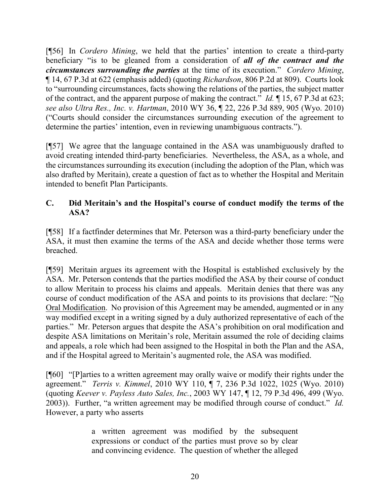[¶56] In *Cordero Mining*, we held that the parties' intention to create a third-party beneficiary "is to be gleaned from a consideration of *all of the contract and the circumstances surrounding the parties* at the time of its execution." *Cordero Mining*, ¶ 14, 67 P.3d at 622 (emphasis added) (quoting *Richardson*, 806 P.2d at 809). Courts look to "surrounding circumstances, facts showing the relations of the parties, the subject matter of the contract, and the apparent purpose of making the contract." *Id.* ¶ 15, 67 P.3d at 623; *see also Ultra Res., Inc. v. Hartman*, 2010 WY 36, ¶ 22, 226 P.3d 889, 905 (Wyo. 2010) ("Courts should consider the circumstances surrounding execution of the agreement to determine the parties' intention, even in reviewing unambiguous contracts.").

[¶57] We agree that the language contained in the ASA was unambiguously drafted to avoid creating intended third-party beneficiaries. Nevertheless, the ASA, as a whole, and the circumstances surrounding its execution (including the adoption of the Plan, which was also drafted by Meritain), create a question of fact as to whether the Hospital and Meritain intended to benefit Plan Participants.

## **C. Did Meritain's and the Hospital's course of conduct modify the terms of the ASA?**

[¶58] If a factfinder determines that Mr. Peterson was a third-party beneficiary under the ASA, it must then examine the terms of the ASA and decide whether those terms were breached.

[¶59] Meritain argues its agreement with the Hospital is established exclusively by the ASA. Mr. Peterson contends that the parties modified the ASA by their course of conduct to allow Meritain to process his claims and appeals. Meritain denies that there was any course of conduct modification of the ASA and points to its provisions that declare: "No Oral Modification. No provision of this Agreement may be amended, augmented or in any way modified except in a writing signed by a duly authorized representative of each of the parties." Mr. Peterson argues that despite the ASA's prohibition on oral modification and despite ASA limitations on Meritain's role, Meritain assumed the role of deciding claims and appeals, a role which had been assigned to the Hospital in both the Plan and the ASA, and if the Hospital agreed to Meritain's augmented role, the ASA was modified.

[¶60] "[P]arties to a written agreement may orally waive or modify their rights under the agreement." *Terris v. Kimmel*, 2010 WY 110, ¶ 7, 236 P.3d 1022, 1025 (Wyo. 2010) (quoting *Keever v. Payless Auto Sales, Inc.*, 2003 WY 147, ¶ 12, 79 P.3d 496, 499 (Wyo. 2003)). Further, "a written agreement may be modified through course of conduct." *Id.* However, a party who asserts

> a written agreement was modified by the subsequent expressions or conduct of the parties must prove so by clear and convincing evidence. The question of whether the alleged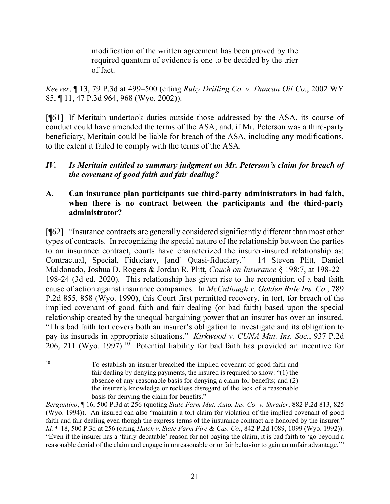modification of the written agreement has been proved by the required quantum of evidence is one to be decided by the trier of fact.

*Keever*, ¶ 13, 79 P.3d at 499–500 (citing *Ruby Drilling Co. v. Duncan Oil Co.*, 2002 WY 85, ¶ 11, 47 P.3d 964, 968 (Wyo. 2002)).

[¶61] If Meritain undertook duties outside those addressed by the ASA, its course of conduct could have amended the terms of the ASA; and, if Mr. Peterson was a third-party beneficiary, Meritain could be liable for breach of the ASA, including any modifications, to the extent it failed to comply with the terms of the ASA.

## *IV. Is Meritain entitled to summary judgment on Mr. Peterson's claim for breach of the covenant of good faith and fair dealing?*

## **A. Can insurance plan participants sue third-party administrators in bad faith, when there is no contract between the participants and the third-party administrator?**

[¶62] "Insurance contracts are generally considered significantly different than most other types of contracts. In recognizing the special nature of the relationship between the parties to an insurance contract, courts have characterized the insurer-insured relationship as: Contractual, Special, Fiduciary, [and] Quasi-fiduciary." 14 Steven Plitt, Daniel Maldonado, Joshua D. Rogers & Jordan R. Plitt, *Couch on Insurance* § 198:7, at 198-22– 198-24 (3d ed. 2020). This relationship has given rise to the recognition of a bad faith cause of action against insurance companies. In *McCullough v. Golden Rule Ins. Co.*, 789 P.2d 855, 858 (Wyo. 1990), this Court first permitted recovery, in tort, for breach of the implied covenant of good faith and fair dealing (or bad faith) based upon the special relationship created by the unequal bargaining power that an insurer has over an insured. "This bad faith tort covers both an insurer's obligation to investigate and its obligation to pay its insureds in appropriate situations." *Kirkwood v. CUNA Mut. Ins. Soc.*, 937 P.2d 206, 211 (Wyo. 1997).<sup>[10](#page-21-0)</sup> Potential liability for bad faith has provided an incentive for

*Bergantino*, ¶ 16, 500 P.3d at 256 (quoting *State Farm Mut. Auto. Ins. Co. v. Shrader*, 882 P.2d 813, 825 (Wyo. 1994)). An insured can also "maintain a tort claim for violation of the implied covenant of good faith and fair dealing even though the express terms of the insurance contract are honored by the insurer." *Id. ¶* 18, 500 P.3d at 256 (citing *Hatch v. State Farm Fire & Cas. Co.*, 842 P.2d 1089, 1099 (Wyo. 1992)). "Even if the insurer has a 'fairly debatable' reason for not paying the claim, it is bad faith to 'go beyond a reasonable denial of the claim and engage in unreasonable or unfair behavior to gain an unfair advantage.'"

<span id="page-21-0"></span><sup>10</sup> To establish an insurer breached the implied covenant of good faith and fair dealing by denying payments, the insured is required to show: "(1) the absence of any reasonable basis for denying a claim for benefits; and (2) the insurer's knowledge or reckless disregard of the lack of a reasonable basis for denying the claim for benefits."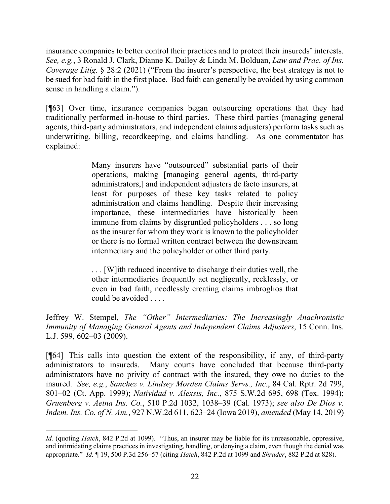insurance companies to better control their practices and to protect their insureds' interests. *See, e.g.*, 3 Ronald J. Clark, Dianne K. Dailey & Linda M. Bolduan, *Law and Prac. of Ins. Coverage Litig.* § 28:2 (2021) ("From the insurer's perspective, the best strategy is not to be sued for bad faith in the first place. Bad faith can generally be avoided by using common sense in handling a claim.").

[¶63] Over time, insurance companies began outsourcing operations that they had traditionally performed in-house to third parties. These third parties (managing general agents, third-party administrators, and independent claims adjusters) perform tasks such as underwriting, billing, recordkeeping, and claims handling. As one commentator has explained:

> Many insurers have "outsourced" substantial parts of their operations, making [managing general agents, third-party administrators,] and independent adjusters de facto insurers, at least for purposes of these key tasks related to policy administration and claims handling. Despite their increasing importance, these intermediaries have historically been immune from claims by disgruntled policyholders . . . so long as the insurer for whom they work is known to the policyholder or there is no formal written contract between the downstream intermediary and the policyholder or other third party.

> . . . [W]ith reduced incentive to discharge their duties well, the other intermediaries frequently act negligently, recklessly, or even in bad faith, needlessly creating claims imbroglios that could be avoided . . . .

Jeffrey W. Stempel, *The "Other" Intermediaries: The Increasingly Anachronistic Immunity of Managing General Agents and Independent Claims Adjusters*, 15 Conn. Ins. L.J. 599, 602–03 (2009).

[¶64] This calls into question the extent of the responsibility, if any, of third-party administrators to insureds. Many courts have concluded that because third-party administrators have no privity of contract with the insured, they owe no duties to the insured. *See, e.g.*, *Sanchez v. Lindsey Morden Claims Servs., Inc.*, 84 Cal. Rptr. 2d 799, 801–02 (Ct. App. 1999); *Natividad v. Alexsis, Inc.*, 875 S.W.2d 695, 698 (Tex. 1994); *Gruenberg v. Aetna Ins. Co.*, 510 P.2d 1032, 1038–39 (Cal. 1973); *see also De Dios v. Indem. Ins. Co. of N. Am.*, 927 N.W.2d 611, 623–24 (Iowa 2019), *amended* (May 14, 2019)

*Id.* (quoting *Hatch*, 842 P.2d at 1099). "Thus, an insurer may be liable for its unreasonable, oppressive, and intimidating claims practices in investigating, handling, or denying a claim, even though the denial was appropriate." *Id.* ¶ 19, 500 P.3d 256–57 (citing *Hatch*, 842 P.2d at 1099 and *Shrader*, 882 P.2d at 828).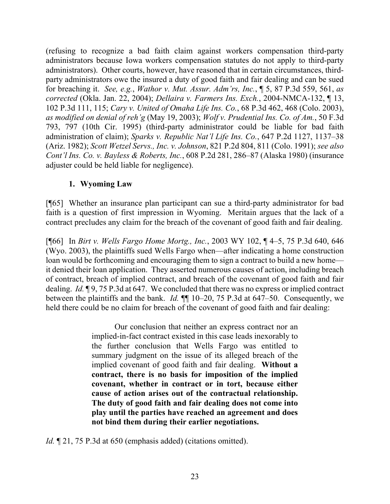(refusing to recognize a bad faith claim against workers compensation third-party administrators because Iowa workers compensation statutes do not apply to third-party administrators). Other courts, however, have reasoned that in certain circumstances, thirdparty administrators owe the insured a duty of good faith and fair dealing and can be sued for breaching it. *See, e.g.*, *Wathor v. Mut. Assur. Adm'rs, Inc.*, ¶ 5, 87 P.3d 559, 561, *as corrected* (Okla. Jan. 22, 2004); *Dellaira v. Farmers Ins. Exch.*, 2004-NMCA-132, ¶ 13, 102 P.3d 111, 115; *Cary v. United of Omaha Life Ins. Co.*, 68 P.3d 462, 468 (Colo. 2003), *as modified on denial of reh'g* (May 19, 2003); *Wolf v. Prudential Ins. Co. of Am.*, 50 F.3d 793, 797 (10th Cir. 1995) (third-party administrator could be liable for bad faith administration of claim); *Sparks v. Republic Nat'l Life Ins. Co.*, 647 P.2d 1127, 1137–38 (Ariz. 1982); *Scott Wetzel Servs., Inc. v. Johnson*, 821 P.2d 804, 811 (Colo. 1991); *see also Cont'l Ins. Co. v. Bayless & Roberts, Inc.*, 608 P.2d 281, 286–87 (Alaska 1980) (insurance adjuster could be held liable for negligence).

### **1. Wyoming Law**

[¶65] Whether an insurance plan participant can sue a third-party administrator for bad faith is a question of first impression in Wyoming. Meritain argues that the lack of a contract precludes any claim for the breach of the covenant of good faith and fair dealing.

[¶66] In *Birt v. Wells Fargo Home Mortg., Inc.*, 2003 WY 102, ¶ 4–5, 75 P.3d 640, 646 (Wyo. 2003), the plaintiffs sued Wells Fargo when—after indicating a home construction loan would be forthcoming and encouraging them to sign a contract to build a new home it denied their loan application. They asserted numerous causes of action, including breach of contract, breach of implied contract, and breach of the covenant of good faith and fair dealing. *Id.* ¶ 9, 75 P.3d at 647. We concluded that there was no express or implied contract between the plaintiffs and the bank. *Id.* ¶¶ 10–20, 75 P.3d at 647–50. Consequently, we held there could be no claim for breach of the covenant of good faith and fair dealing:

> Our conclusion that neither an express contract nor an implied-in-fact contract existed in this case leads inexorably to the further conclusion that Wells Fargo was entitled to summary judgment on the issue of its alleged breach of the implied covenant of good faith and fair dealing. **Without a contract, there is no basis for imposition of the implied covenant, whether in contract or in tort, because either cause of action arises out of the contractual relationship. The duty of good faith and fair dealing does not come into play until the parties have reached an agreement and does not bind them during their earlier negotiations.**

*Id.*  $\sim$  21, 75 P.3d at 650 (emphasis added) (citations omitted).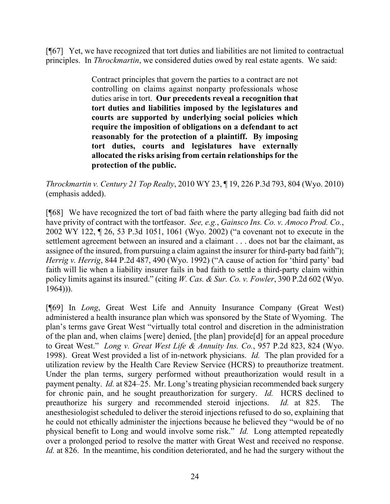[¶67] Yet, we have recognized that tort duties and liabilities are not limited to contractual principles. In *Throckmartin*, we considered duties owed by real estate agents. We said:

> Contract principles that govern the parties to a contract are not controlling on claims against nonparty professionals whose duties arise in tort. **Our precedents reveal a recognition that tort duties and liabilities imposed by the legislatures and courts are supported by underlying social policies which require the imposition of obligations on a defendant to act reasonably for the protection of a plaintiff. By imposing tort duties, courts and legislatures have externally allocated the risks arising from certain relationships for the protection of the public.**

*Throckmartin v. Century 21 Top Realty*, 2010 WY 23, ¶ 19, 226 P.3d 793, 804 (Wyo. 2010) (emphasis added).

[¶68] We have recognized the tort of bad faith where the party alleging bad faith did not have privity of contract with the tortfeasor. *See, e.g.*, *Gainsco Ins. Co. v. Amoco Prod. Co.*, 2002 WY 122, ¶ 26, 53 P.3d 1051, 1061 (Wyo. 2002) ("a covenant not to execute in the settlement agreement between an insured and a claimant . . . does not bar the claimant, as assignee of the insured, from pursuing a claim against the insurer for third-party bad faith"); *Herrig v. Herrig*, 844 P.2d 487, 490 (Wyo. 1992) ("A cause of action for 'third party' bad faith will lie when a liability insurer fails in bad faith to settle a third-party claim within policy limits against its insured." (citing *W. Cas. & Sur. Co. v. Fowler*, 390 P.2d 602 (Wyo. 1964))).

[¶69] In *Long*, Great West Life and Annuity Insurance Company (Great West) administered a health insurance plan which was sponsored by the State of Wyoming. The plan's terms gave Great West "virtually total control and discretion in the administration of the plan and, when claims [were] denied, [the plan] provide[d] for an appeal procedure to Great West." *Long v. Great West Life & Annuity Ins. Co.*, 957 P.2d 823, 824 (Wyo. 1998). Great West provided a list of in-network physicians. *Id.* The plan provided for a utilization review by the Health Care Review Service (HCRS) to preauthorize treatment. Under the plan terms, surgery performed without preauthorization would result in a payment penalty. *Id.* at 824–25. Mr. Long's treating physician recommended back surgery for chronic pain, and he sought preauthorization for surgery. *Id.* HCRS declined to preauthorize his surgery and recommended steroid injections. *Id.* at 825. The anesthesiologist scheduled to deliver the steroid injections refused to do so, explaining that he could not ethically administer the injections because he believed they "would be of no physical benefit to Long and would involve some risk." *Id.* Long attempted repeatedly over a prolonged period to resolve the matter with Great West and received no response. *Id.* at 826. In the meantime, his condition deteriorated, and he had the surgery without the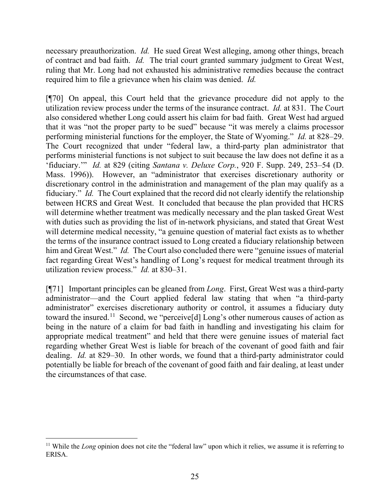necessary preauthorization. *Id.* He sued Great West alleging, among other things, breach of contract and bad faith. *Id.* The trial court granted summary judgment to Great West, ruling that Mr. Long had not exhausted his administrative remedies because the contract required him to file a grievance when his claim was denied. *Id.* 

[¶70] On appeal, this Court held that the grievance procedure did not apply to the utilization review process under the terms of the insurance contract. *Id.* at 831. The Court also considered whether Long could assert his claim for bad faith. Great West had argued that it was "not the proper party to be sued" because "it was merely a claims processor performing ministerial functions for the employer, the State of Wyoming." *Id.* at 828–29. The Court recognized that under "federal law, a third-party plan administrator that performs ministerial functions is not subject to suit because the law does not define it as a 'fiduciary.'" *Id.* at 829 (citing *Santana v. Deluxe Corp.*, 920 F. Supp. 249, 253–54 (D. Mass. 1996)). However, an "administrator that exercises discretionary authority or discretionary control in the administration and management of the plan may qualify as a fiduciary." *Id.* The Court explained that the record did not clearly identify the relationship between HCRS and Great West. It concluded that because the plan provided that HCRS will determine whether treatment was medically necessary and the plan tasked Great West with duties such as providing the list of in-network physicians, and stated that Great West will determine medical necessity, "a genuine question of material fact exists as to whether the terms of the insurance contract issued to Long created a fiduciary relationship between him and Great West." *Id.* The Court also concluded there were "genuine issues of material fact regarding Great West's handling of Long's request for medical treatment through its utilization review process." *Id.* at 830–31.

[¶71] Important principles can be gleaned from *Long*. First, Great West was a third-party administrator—and the Court applied federal law stating that when "a third-party administrator" exercises discretionary authority or control, it assumes a fiduciary duty toward the insured.<sup>[11](#page-25-0)</sup> Second, we "perceive[d] Long's other numerous causes of action as being in the nature of a claim for bad faith in handling and investigating his claim for appropriate medical treatment" and held that there were genuine issues of material fact regarding whether Great West is liable for breach of the covenant of good faith and fair dealing. *Id.* at 829–30. In other words, we found that a third-party administrator could potentially be liable for breach of the covenant of good faith and fair dealing, at least under the circumstances of that case.

<span id="page-25-0"></span><sup>&</sup>lt;sup>11</sup> While the *Long* opinion does not cite the "federal law" upon which it relies, we assume it is referring to ERISA.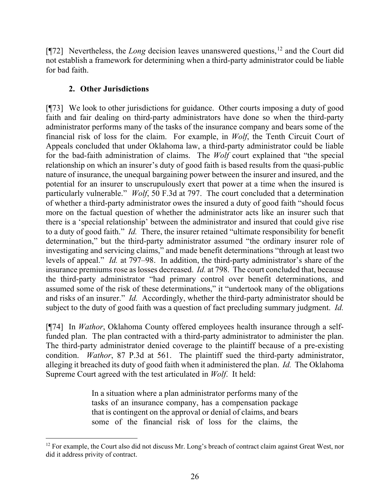[¶72] Nevertheless, the *Long* decision leaves unanswered questions,<sup>[12](#page-26-0)</sup> and the Court did not establish a framework for determining when a third-party administrator could be liable for bad faith.

# **2. Other Jurisdictions**

[¶73] We look to other jurisdictions for guidance. Other courts imposing a duty of good faith and fair dealing on third-party administrators have done so when the third-party administrator performs many of the tasks of the insurance company and bears some of the financial risk of loss for the claim. For example, in *Wolf*, the Tenth Circuit Court of Appeals concluded that under Oklahoma law, a third-party administrator could be liable for the bad-faith administration of claims. The *Wolf* court explained that "the special relationship on which an insurer's duty of good faith is based results from the quasi-public nature of insurance, the unequal bargaining power between the insurer and insured, and the potential for an insurer to unscrupulously exert that power at a time when the insured is particularly vulnerable." *Wolf*, 50 F.3d at 797. The court concluded that a determination of whether a third-party administrator owes the insured a duty of good faith "should focus more on the factual question of whether the administrator acts like an insurer such that there is a 'special relationship' between the administrator and insured that could give rise to a duty of good faith." *Id.* There, the insurer retained "ultimate responsibility for benefit determination," but the third-party administrator assumed "the ordinary insurer role of investigating and servicing claims," and made benefit determinations "through at least two levels of appeal." *Id.* at 797–98. In addition, the third-party administrator's share of the insurance premiums rose as losses decreased. *Id.* at 798. The court concluded that, because the third-party administrator "had primary control over benefit determinations, and assumed some of the risk of these determinations," it "undertook many of the obligations and risks of an insurer." *Id.* Accordingly, whether the third-party administrator should be subject to the duty of good faith was a question of fact precluding summary judgment. *Id.* 

[¶74] In *Wathor*, Oklahoma County offered employees health insurance through a selffunded plan. The plan contracted with a third-party administrator to administer the plan. The third-party administrator denied coverage to the plaintiff because of a pre-existing condition. *Wathor*, 87 P.3d at 561. The plaintiff sued the third-party administrator, alleging it breached its duty of good faith when it administered the plan. *Id.* The Oklahoma Supreme Court agreed with the test articulated in *Wolf*. It held:

> In a situation where a plan administrator performs many of the tasks of an insurance company, has a compensation package that is contingent on the approval or denial of claims, and bears some of the financial risk of loss for the claims, the

<span id="page-26-0"></span><sup>&</sup>lt;sup>12</sup> For example, the Court also did not discuss Mr. Long's breach of contract claim against Great West, nor did it address privity of contract.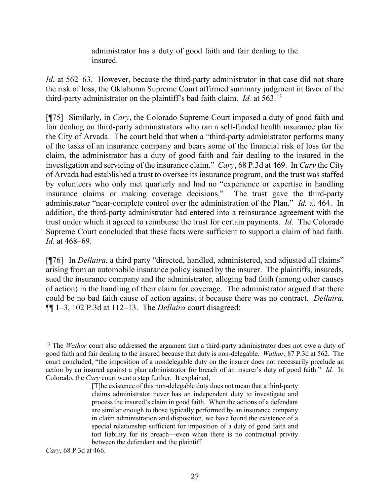administrator has a duty of good faith and fair dealing to the insured.

*Id.* at 562–63. However, because the third-party administrator in that case did not share the risk of loss, the Oklahoma Supreme Court affirmed summary judgment in favor of the third-party administrator on the plaintiff's bad faith claim. *Id.* at 563.[13](#page-27-0)

[¶75] Similarly, in *Cary*, the Colorado Supreme Court imposed a duty of good faith and fair dealing on third-party administrators who ran a self-funded health insurance plan for the City of Arvada. The court held that when a "third-party administrator performs many of the tasks of an insurance company and bears some of the financial risk of loss for the claim, the administrator has a duty of good faith and fair dealing to the insured in the investigation and servicing of the insurance claim." *Cary*, 68 P.3d at 469. In *Cary* the City of Arvada had established a trust to oversee its insurance program, and the trust was staffed by volunteers who only met quarterly and had no "experience or expertise in handling insurance claims or making coverage decisions." The trust gave the third-party administrator "near-complete control over the administration of the Plan." *Id.* at 464. In addition, the third-party administrator had entered into a reinsurance agreement with the trust under which it agreed to reimburse the trust for certain payments. *Id.* The Colorado Supreme Court concluded that these facts were sufficient to support a claim of bad faith. *Id.* at 468–69.

[¶76] In *Dellaira*, a third party "directed, handled, administered, and adjusted all claims" arising from an automobile insurance policy issued by the insurer. The plaintiffs, insureds, sued the insurance company and the administrator, alleging bad faith (among other causes of action) in the handling of their claim for coverage. The administrator argued that there could be no bad faith cause of action against it because there was no contract. *Dellaira*, ¶¶ 1–3, 102 P.3d at 112–13. The *Dellaira* court disagreed:

*Cary*, 68 P.3d at 466.

<span id="page-27-0"></span><sup>&</sup>lt;sup>13</sup> The *Wathor* court also addressed the argument that a third-party administrator does not owe a duty of good faith and fair dealing to the insured because that duty is non-delegable. *Wathor*, 87 P.3d at 562. The court concluded, "the imposition of a nondelegable duty on the insurer does not necessarily preclude an action by an insured against a plan administrator for breach of an insurer's duty of good faith." *Id.* In Colorado, the *Cary* court went a step further. It explained,

<sup>[</sup>T]he existence of this non-delegable duty does not mean that a third-party claims administrator never has an independent duty to investigate and process the insured's claim in good faith. When the actions of a defendant are similar enough to those typically performed by an insurance company in claim administration and disposition, we have found the existence of a special relationship sufficient for imposition of a duty of good faith and tort liability for its breach—even when there is no contractual privity between the defendant and the plaintiff.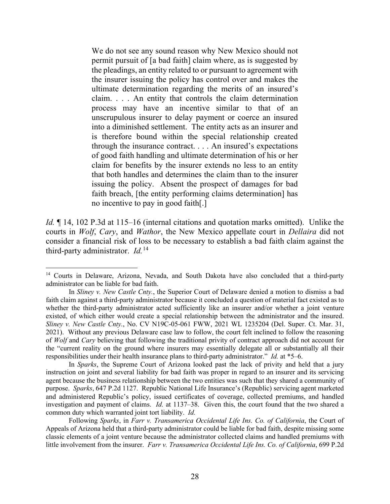We do not see any sound reason why New Mexico should not permit pursuit of [a bad faith] claim where, as is suggested by the pleadings, an entity related to or pursuant to agreement with the insurer issuing the policy has control over and makes the ultimate determination regarding the merits of an insured's claim. . . . An entity that controls the claim determination process may have an incentive similar to that of an unscrupulous insurer to delay payment or coerce an insured into a diminished settlement. The entity acts as an insurer and is therefore bound within the special relationship created through the insurance contract. . . . An insured's expectations of good faith handling and ultimate determination of his or her claim for benefits by the insurer extends no less to an entity that both handles and determines the claim than to the insurer issuing the policy. Absent the prospect of damages for bad faith breach, [the entity performing claims determination] has no incentive to pay in good faith[.]

*Id.*  $\parallel$  14, 102 P.3d at 115–16 (internal citations and quotation marks omitted). Unlike the courts in *Wolf*, *Cary*, and *Wathor*, the New Mexico appellate court in *Dellaira* did not consider a financial risk of loss to be necessary to establish a bad faith claim against the third-party administrator. *Id.*[14](#page-28-0)

In *Sparks*, the Supreme Court of Arizona looked past the lack of privity and held that a jury instruction on joint and several liability for bad faith was proper in regard to an insurer and its servicing agent because the business relationship between the two entities was such that they shared a community of purpose. *Sparks*, 647 P.2d 1127. Republic National Life Insurance's (Republic) servicing agent marketed and administered Republic's policy, issued certificates of coverage, collected premiums, and handled investigation and payment of claims. *Id.* at 1137–38. Given this, the court found that the two shared a common duty which warranted joint tort liability. *Id.* 

 Following *Sparks*, in *Farr v. Transamerica Occidental Life Ins. Co. of California*, the Court of Appeals of Arizona held that a third-party administrator could be liable for bad faith, despite missing some classic elements of a joint venture because the administrator collected claims and handled premiums with little involvement from the insurer. *Farr v. Transamerica Occidental Life Ins. Co. of California*, 699 P.2d

<span id="page-28-0"></span><sup>&</sup>lt;sup>14</sup> Courts in Delaware, Arizona, Nevada, and South Dakota have also concluded that a third-party administrator can be liable for bad faith.

In *Sliney v. New Castle Cnty.*, the Superior Court of Delaware denied a motion to dismiss a bad faith claim against a third-party administrator because it concluded a question of material fact existed as to whether the third-party administrator acted sufficiently like an insurer and/or whether a joint venture existed, of which either would create a special relationship between the administrator and the insured. *Sliney v. New Castle Cnty.*, No. CV N19C-05-061 FWW, 2021 WL 1235204 (Del. Super. Ct. Mar. 31, 2021). Without any previous Delaware case law to follow, the court felt inclined to follow the reasoning of *Wolf* and *Cary* believing that following the traditional privity of contract approach did not account for the "current reality on the ground where insurers may essentially delegate all or substantially all their responsibilities under their health insurance plans to third-party administrator." *Id.* at \*5–6.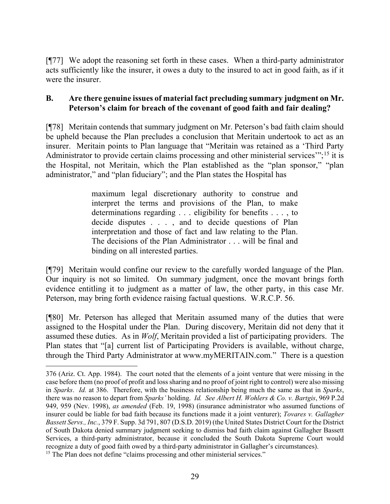[¶77] We adopt the reasoning set forth in these cases. When a third-party administrator acts sufficiently like the insurer, it owes a duty to the insured to act in good faith, as if it were the insurer.

### **B. Are there genuine issues of material fact precluding summary judgment on Mr. Peterson's claim for breach of the covenant of good faith and fair dealing?**

[¶78] Meritain contends that summary judgment on Mr. Peterson's bad faith claim should be upheld because the Plan precludes a conclusion that Meritain undertook to act as an insurer. Meritain points to Plan language that "Meritain was retained as a 'Third Party Administrator to provide certain claims processing and other ministerial services";<sup>[15](#page-29-0)</sup> it is the Hospital, not Meritain, which the Plan established as the "plan sponsor," "plan administrator," and "plan fiduciary"; and the Plan states the Hospital has

> maximum legal discretionary authority to construe and interpret the terms and provisions of the Plan, to make determinations regarding . . . eligibility for benefits . . . , to decide disputes . . . , and to decide questions of Plan interpretation and those of fact and law relating to the Plan. The decisions of the Plan Administrator . . . will be final and binding on all interested parties.

[¶79] Meritain would confine our review to the carefully worded language of the Plan. Our inquiry is not so limited. On summary judgment, once the movant brings forth evidence entitling it to judgment as a matter of law, the other party, in this case Mr. Peterson, may bring forth evidence raising factual questions. W.R.C.P. 56.

[¶80] Mr. Peterson has alleged that Meritain assumed many of the duties that were assigned to the Hospital under the Plan. During discovery, Meritain did not deny that it assumed these duties. As in *Wolf*, Meritain provided a list of participating providers. The Plan states that "[a] current list of Participating Providers is available, without charge, through the Third Party Administrator at www.myMERITAIN.com." There is a question

<sup>376 (</sup>Ariz. Ct. App. 1984). The court noted that the elements of a joint venture that were missing in the case before them (no proof of profit and loss sharing and no proof of joint right to control) were also missing in *Sparks*. *Id.* at 386. Therefore, with the business relationship being much the same as that in *Sparks*, there was no reason to depart from *Sparks'* holding. *Id. See Albert H. Wohlers & Co. v. Bartgis*, 969 P.2d 949, 959 (Nev. 1998), *as amended* (Feb. 19, 1998) (insurance administrator who assumed functions of insurer could be liable for bad faith because its functions made it a joint venturer); *Tovares v. Gallagher Bassett Servs., Inc.*, 379 F. Supp. 3d 791, 807 (D.S.D. 2019) (the United States District Court for the District of South Dakota denied summary judgment seeking to dismiss bad faith claim against Gallagher Bassett Services, a third-party administrator, because it concluded the South Dakota Supreme Court would recognize a duty of good faith owed by a third-party administrator in Gallagher's circumstances).

<span id="page-29-0"></span><sup>&</sup>lt;sup>15</sup> The Plan does not define "claims processing and other ministerial services."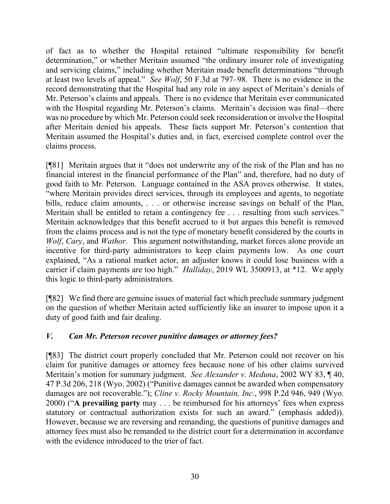of fact as to whether the Hospital retained "ultimate responsibility for benefit determination," or whether Meritain assumed "the ordinary insurer role of investigating and servicing claims," including whether Meritain made benefit determinations "through at least two levels of appeal." *See Wolf*, 50 F.3d at 797–98. There is no evidence in the record demonstrating that the Hospital had any role in any aspect of Meritain's denials of Mr. Peterson's claims and appeals. There is no evidence that Meritain ever communicated with the Hospital regarding Mr. Peterson's claims. Meritain's decision was final—there was no procedure by which Mr. Peterson could seek reconsideration or involve the Hospital after Meritain denied his appeals. These facts support Mr. Peterson's contention that Meritain assumed the Hospital's duties and, in fact, exercised complete control over the claims process.

[¶81] Meritain argues that it "does not underwrite any of the risk of the Plan and has no financial interest in the financial performance of the Plan" and, therefore, had no duty of good faith to Mr. Peterson. Language contained in the ASA proves otherwise. It states, "where Meritain provides direct services, through its employees and agents, to negotiate bills, reduce claim amounts, . . . or otherwise increase savings on behalf of the Plan, Meritain shall be entitled to retain a contingency fee . . . resulting from such services." Meritain acknowledges that this benefit accrued to it but argues this benefit is removed from the claims process and is not the type of monetary benefit considered by the courts in *Wolf*, *Cary*, and *Wathor*. This argument notwithstanding, market forces alone provide an incentive for third-party administrators to keep claim payments low. As one court explained, "As a rational market actor, an adjuster knows it could lose business with a carrier if claim payments are too high." *Halliday*, 2019 WL 3500913, at \*12. We apply this logic to third-party administrators.

[¶82] We find there are genuine issues of material fact which preclude summary judgment on the question of whether Meritain acted sufficiently like an insurer to impose upon it a duty of good faith and fair dealing.

### *V. Can Mr. Peterson recover punitive damages or attorney fees?*

[¶83] The district court properly concluded that Mr. Peterson could not recover on his claim for punitive damages or attorney fees because none of his other claims survived Meritain's motion for summary judgment. *See Alexander v. Meduna*, 2002 WY 83, ¶ 40, 47 P.3d 206, 218 (Wyo. 2002) ("Punitive damages cannot be awarded when compensatory damages are not recoverable."); *Cline v. Rocky Mountain, Inc.*, 998 P.2d 946, 949 (Wyo. 2000) ("**A prevailing party** may . . . be reimbursed for his attorneys' fees when express statutory or contractual authorization exists for such an award." (emphasis added)). However, because we are reversing and remanding, the questions of punitive damages and attorney fees must also be remanded to the district court for a determination in accordance with the evidence introduced to the trier of fact.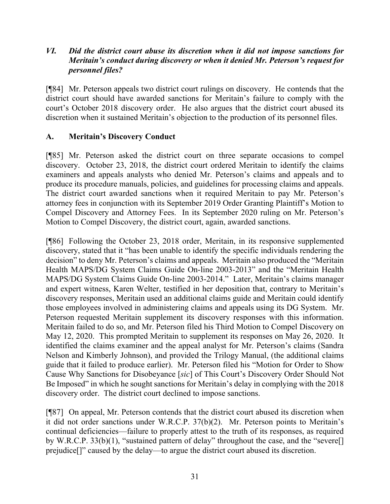## *VI. Did the district court abuse its discretion when it did not impose sanctions for Meritain's conduct during discovery or when it denied Mr. Peterson's request for personnel files?*

[¶84] Mr. Peterson appeals two district court rulings on discovery. He contends that the district court should have awarded sanctions for Meritain's failure to comply with the court's October 2018 discovery order. He also argues that the district court abused its discretion when it sustained Meritain's objection to the production of its personnel files.

## **A. Meritain's Discovery Conduct**

[¶85] Mr. Peterson asked the district court on three separate occasions to compel discovery. October 23, 2018, the district court ordered Meritain to identify the claims examiners and appeals analysts who denied Mr. Peterson's claims and appeals and to produce its procedure manuals, policies, and guidelines for processing claims and appeals. The district court awarded sanctions when it required Meritain to pay Mr. Peterson's attorney fees in conjunction with its September 2019 Order Granting Plaintiff's Motion to Compel Discovery and Attorney Fees. In its September 2020 ruling on Mr. Peterson's Motion to Compel Discovery, the district court, again, awarded sanctions.

[¶86] Following the October 23, 2018 order, Meritain, in its responsive supplemented discovery, stated that it "has been unable to identify the specific individuals rendering the decision" to deny Mr. Peterson's claims and appeals. Meritain also produced the "Meritain Health MAPS/DG System Claims Guide On-line 2003-2013" and the "Meritain Health MAPS/DG System Claims Guide On-line 2003-2014." Later, Meritain's claims manager and expert witness, Karen Welter, testified in her deposition that, contrary to Meritain's discovery responses, Meritain used an additional claims guide and Meritain could identify those employees involved in administering claims and appeals using its DG System. Mr. Peterson requested Meritain supplement its discovery responses with this information. Meritain failed to do so, and Mr. Peterson filed his Third Motion to Compel Discovery on May 12, 2020. This prompted Meritain to supplement its responses on May 26, 2020. It identified the claims examiner and the appeal analyst for Mr. Peterson's claims (Sandra Nelson and Kimberly Johnson), and provided the Trilogy Manual, (the additional claims guide that it failed to produce earlier). Mr. Peterson filed his "Motion for Order to Show Cause Why Sanctions for Disobeyance [*sic*] of This Court's Discovery Order Should Not Be Imposed" in which he sought sanctions for Meritain's delay in complying with the 2018 discovery order. The district court declined to impose sanctions.

[¶87] On appeal, Mr. Peterson contends that the district court abused its discretion when it did not order sanctions under W.R.C.P. 37(b)(2). Mr. Peterson points to Meritain's continual deficiencies—failure to properly attest to the truth of its responses, as required by W.R.C.P. 33(b)(1), "sustained pattern of delay" throughout the case, and the "severe[] prejudice[]" caused by the delay—to argue the district court abused its discretion.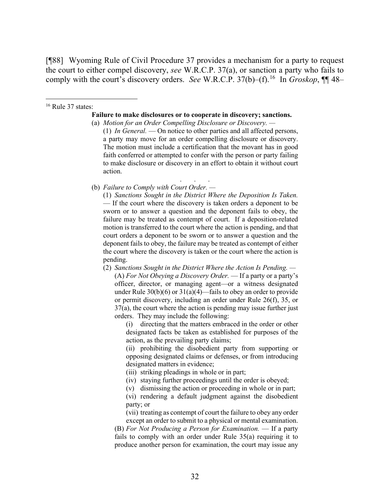[¶88] Wyoming Rule of Civil Procedure 37 provides a mechanism for a party to request the court to either compel discovery, *see* W.R.C.P. 37(a), or sanction a party who fails to comply with the court's discovery orders. *See* W.R.C.P. 37(b)–(f).<sup>[16](#page-32-0)</sup> In *Groskop*, ¶[48–

<span id="page-32-0"></span> $16$  Rule 37 states:

#### **Failure to make disclosures or to cooperate in discovery; sanctions.**

- (a) *Motion for an Order Compelling Disclosure or Discovery. —* (1) *In General.* — On notice to other parties and all affected persons, a party may move for an order compelling disclosure or discovery. The motion must include a certification that the movant has in good faith conferred or attempted to confer with the person or party failing to make disclosure or discovery in an effort to obtain it without court action.
- . . . (b) *Failure to Comply with Court Order. —*

(1) *Sanctions Sought in the District Where the Deposition Is Taken.* — If the court where the discovery is taken orders a deponent to be sworn or to answer a question and the deponent fails to obey, the failure may be treated as contempt of court. If a deposition-related motion is transferred to the court where the action is pending, and that court orders a deponent to be sworn or to answer a question and the deponent fails to obey, the failure may be treated as contempt of either the court where the discovery is taken or the court where the action is pending.

(2) *Sanctions Sought in the District Where the Action Is Pending. —* (A) *For Not Obeying a Discovery Order.* — If a party or a party's officer, director, or managing agent—or a witness designated under Rule  $30(b)(6)$  or  $31(a)(4)$ —fails to obey an order to provide or permit discovery, including an order under Rule 26(f), 35, or 37(a), the court where the action is pending may issue further just orders. They may include the following:

(i) directing that the matters embraced in the order or other designated facts be taken as established for purposes of the action, as the prevailing party claims;

(ii) prohibiting the disobedient party from supporting or opposing designated claims or defenses, or from introducing designated matters in evidence;

(iii) striking pleadings in whole or in part;

(iv) staying further proceedings until the order is obeyed;

(v) dismissing the action or proceeding in whole or in part;

(vi) rendering a default judgment against the disobedient party; or

(vii) treating as contempt of court the failure to obey any order except an order to submit to a physical or mental examination.

(B) *For Not Producing a Person for Examination.* — If a party fails to comply with an order under Rule 35(a) requiring it to produce another person for examination, the court may issue any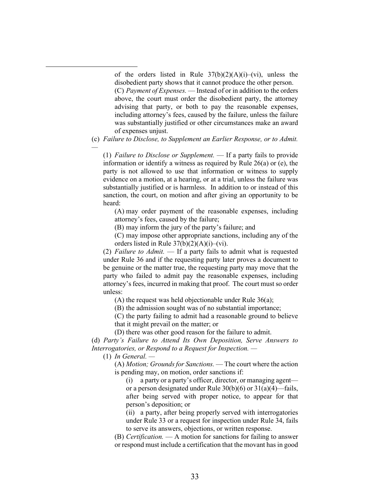of the orders listed in Rule  $37(b)(2)(A)(i)$ –(vi), unless the disobedient party shows that it cannot produce the other person. (C) *Payment of Expenses.* — Instead of or in addition to the orders above, the court must order the disobedient party, the attorney advising that party, or both to pay the reasonable expenses, including attorney's fees, caused by the failure, unless the failure was substantially justified or other circumstances make an award of expenses unjust.

### (c) *Failure to Disclose, to Supplement an Earlier Response, or to Admit.*

(1) *Failure to Disclose or Supplement.* — If a party fails to provide information or identify a witness as required by Rule 26(a) or (e), the party is not allowed to use that information or witness to supply evidence on a motion, at a hearing, or at a trial, unless the failure was substantially justified or is harmless. In addition to or instead of this sanction, the court, on motion and after giving an opportunity to be heard:

(A) may order payment of the reasonable expenses, including attorney's fees, caused by the failure;

(B) may inform the jury of the party's failure; and

(C) may impose other appropriate sanctions, including any of the orders listed in Rule  $37(b)(2)(A)(i)$ –(vi).

(2) *Failure to Admit.* — If a party fails to admit what is requested under Rule 36 and if the requesting party later proves a document to be genuine or the matter true, the requesting party may move that the party who failed to admit pay the reasonable expenses, including attorney's fees, incurred in making that proof. The court must so order unless:

(A) the request was held objectionable under Rule 36(a);

(B) the admission sought was of no substantial importance;

(C) the party failing to admit had a reasonable ground to believe that it might prevail on the matter; or

(D) there was other good reason for the failure to admit.

(d) *Party's Failure to Attend Its Own Deposition, Serve Answers to Interrogatories, or Respond to a Request for Inspection. —*

(1) *In General. —*

*—*

(A) *Motion; Grounds for Sanctions.* — The court where the action is pending may, on motion, order sanctions if:

(i) a party or a party's officer, director, or managing agent or a person designated under Rule 30(b)(6) or 31(a)(4)—fails, after being served with proper notice, to appear for that person's deposition; or

(ii) a party, after being properly served with interrogatories under Rule 33 or a request for inspection under Rule 34, fails to serve its answers, objections, or written response.

(B) *Certification.* — A motion for sanctions for failing to answer or respond must include a certification that the movant has in good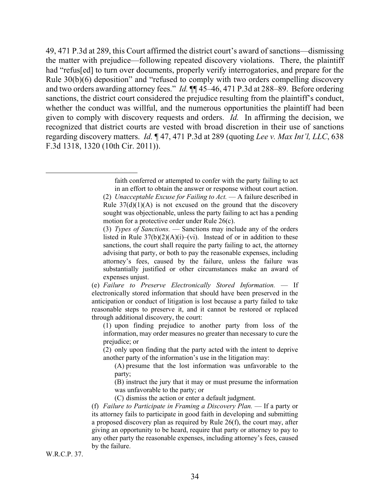49, 471 P.3d at 289, this Court affirmed the district court's award of sanctions—dismissing the matter with prejudice—following repeated discovery violations. There, the plaintiff had "refus[ed] to turn over documents, properly verify interrogatories, and prepare for the Rule 30(b)(6) deposition" and "refused to comply with two orders compelling discovery and two orders awarding attorney fees." *Id.* ¶¶ 45–46, 471 P.3d at 288–89. Before ordering sanctions, the district court considered the prejudice resulting from the plaintiff's conduct, whether the conduct was willful, and the numerous opportunities the plaintiff had been given to comply with discovery requests and orders. *Id.* In affirming the decision, we recognized that district courts are vested with broad discretion in their use of sanctions regarding discovery matters. *Id.* ¶ 47, 471 P.3d at 289 (quoting *Lee v. Max Int'l, LLC*, 638 F.3d 1318, 1320 (10th Cir. 2011)).

W.R.C.P. 37.

faith conferred or attempted to confer with the party failing to act in an effort to obtain the answer or response without court action. (2) *Unacceptable Excuse for Failing to Act.* — A failure described in Rule  $37(d)(1)(A)$  is not excused on the ground that the discovery sought was objectionable, unless the party failing to act has a pending motion for a protective order under Rule 26(c).

<sup>(3)</sup> *Types of Sanctions.* — Sanctions may include any of the orders listed in Rule  $37(b)(2)(A)(i)$ –(vi). Instead of or in addition to these sanctions, the court shall require the party failing to act, the attorney advising that party, or both to pay the reasonable expenses, including attorney's fees, caused by the failure, unless the failure was substantially justified or other circumstances make an award of expenses unjust.

<sup>(</sup>e) *Failure to Preserve Electronically Stored Information.* — If electronically stored information that should have been preserved in the anticipation or conduct of litigation is lost because a party failed to take reasonable steps to preserve it, and it cannot be restored or replaced through additional discovery, the court:

<sup>(1)</sup> upon finding prejudice to another party from loss of the information, may order measures no greater than necessary to cure the prejudice; or

<sup>(2)</sup> only upon finding that the party acted with the intent to deprive another party of the information's use in the litigation may:

<sup>(</sup>A) presume that the lost information was unfavorable to the party;

<sup>(</sup>B) instruct the jury that it may or must presume the information was unfavorable to the party; or

<sup>(</sup>C) dismiss the action or enter a default judgment.

<sup>(</sup>f) *Failure to Participate in Framing a Discovery Plan.* — If a party or its attorney fails to participate in good faith in developing and submitting a proposed discovery plan as required by Rule 26(f), the court may, after giving an opportunity to be heard, require that party or attorney to pay to any other party the reasonable expenses, including attorney's fees, caused by the failure.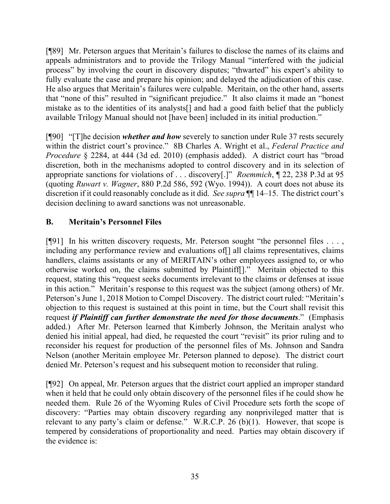[¶89] Mr. Peterson argues that Meritain's failures to disclose the names of its claims and appeals administrators and to provide the Trilogy Manual "interfered with the judicial process" by involving the court in discovery disputes; "thwarted" his expert's ability to fully evaluate the case and prepare his opinion; and delayed the adjudication of this case. He also argues that Meritain's failures were culpable. Meritain, on the other hand, asserts that "none of this" resulted in "significant prejudice." It also claims it made an "honest mistake as to the identities of its analysts[] and had a good faith belief that the publicly available Trilogy Manual should not [have been] included in its initial production."

[¶90] "[T]he decision *whether and how* severely to sanction under Rule 37 rests securely within the district court's province." 8B Charles A. Wright et al., *Federal Practice and Procedure* § 2284, at 444 (3d ed. 2010) (emphasis added). A district court has "broad discretion, both in the mechanisms adopted to control discovery and in its selection of appropriate sanctions for violations of . . . discovery[.]" *Roemmich*, ¶ 22, 238 P.3d at 95 (quoting *Ruwart v. Wagner*, 880 P.2d 586, 592 (Wyo. 1994)). A court does not abuse its discretion if it could reasonably conclude as it did. *See supra* ¶¶ 14–15. The district court's decision declining to award sanctions was not unreasonable.

# **B. Meritain's Personnel Files**

[¶91] In his written discovery requests, Mr. Peterson sought "the personnel files . . . , including any performance review and evaluations of all claims representatives, claims handlers, claims assistants or any of MERITAIN's other employees assigned to, or who otherwise worked on, the claims submitted by Plaintiff[]." Meritain objected to this request, stating this "request seeks documents irrelevant to the claims or defenses at issue in this action." Meritain's response to this request was the subject (among others) of Mr. Peterson's June 1, 2018 Motion to Compel Discovery. The district court ruled: "Meritain's objection to this request is sustained at this point in time, but the Court shall revisit this request *if Plaintiff can further demonstrate the need for those documents*." (Emphasis added.) After Mr. Peterson learned that Kimberly Johnson, the Meritain analyst who denied his initial appeal, had died, he requested the court "revisit" its prior ruling and to reconsider his request for production of the personnel files of Ms. Johnson and Sandra Nelson (another Meritain employee Mr. Peterson planned to depose). The district court denied Mr. Peterson's request and his subsequent motion to reconsider that ruling.

[¶92] On appeal, Mr. Peterson argues that the district court applied an improper standard when it held that he could only obtain discovery of the personnel files if he could show he needed them. Rule 26 of the Wyoming Rules of Civil Procedure sets forth the scope of discovery: "Parties may obtain discovery regarding any nonprivileged matter that is relevant to any party's claim or defense." W.R.C.P. 26 (b)(1). However, that scope is tempered by considerations of proportionality and need. Parties may obtain discovery if the evidence is: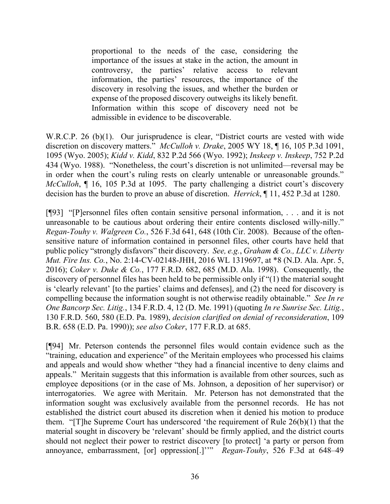proportional to the needs of the case, considering the importance of the issues at stake in the action, the amount in controversy, the parties' relative access to relevant information, the parties' resources, the importance of the discovery in resolving the issues, and whether the burden or expense of the proposed discovery outweighs its likely benefit. Information within this scope of discovery need not be admissible in evidence to be discoverable.

W.R.C.P. 26 (b)(1). Our jurisprudence is clear, "District courts are vested with wide discretion on discovery matters." *McCulloh v. Drake*, 2005 WY 18, ¶ 16, 105 P.3d 1091, 1095 (Wyo. 2005); *Kidd v. Kidd*, 832 P.2d 566 (Wyo. 1992); *Inskeep v. Inskeep*, 752 P.2d 434 (Wyo. 1988). "Nonetheless, the court's discretion is not unlimited—reversal may be in order when the court's ruling rests on clearly untenable or unreasonable grounds." *McCulloh*, ¶ 16, 105 P.3d at 1095. The party challenging a district court's discovery decision has the burden to prove an abuse of discretion. *Herrick*, ¶ 11, 452 P.3d at 1280.

[¶93] "[P]ersonnel files often contain sensitive personal information, . . . and it is not unreasonable to be cautious about ordering their entire contents disclosed willy-nilly." *Regan-Touhy v. Walgreen Co.*, 526 F.3d 641, 648 (10th Cir. 2008). Because of the oftensensitive nature of information contained in personnel files, other courts have held that public policy "strongly disfavors" their discovery. *See, e.g.*, *Graham & Co., LLC v. Liberty Mut. Fire Ins. Co.*, No. 2:14-CV-02148-JHH, 2016 WL 1319697, at \*8 (N.D. Ala. Apr. 5, 2016); *Coker v. Duke & Co.*, 177 F.R.D. 682, 685 (M.D. Ala. 1998). Consequently, the discovery of personnel files has been held to be permissible only if "(1) the material sought is 'clearly relevant' [to the parties' claims and defenses], and (2) the need for discovery is compelling because the information sought is not otherwise readily obtainable." *See In re One Bancorp Sec. Litig.*, 134 F.R.D. 4, 12 (D. Me. 1991) (quoting *In re Sunrise Sec. Litig.*, 130 F.R.D. 560, 580 (E.D. Pa. 1989), *decision clarified on denial of reconsideration*, 109 B.R. 658 (E.D. Pa. 1990)); *see also Coker*, 177 F.R.D. at 685.

[¶94] Mr. Peterson contends the personnel files would contain evidence such as the "training, education and experience" of the Meritain employees who processed his claims and appeals and would show whether "they had a financial incentive to deny claims and appeals." Meritain suggests that this information is available from other sources, such as employee depositions (or in the case of Ms. Johnson, a deposition of her supervisor) or interrogatories. We agree with Meritain. Mr. Peterson has not demonstrated that the information sought was exclusively available from the personnel records. He has not established the district court abused its discretion when it denied his motion to produce them. "[T]he Supreme Court has underscored 'the requirement of Rule 26(b)(1) that the material sought in discovery be 'relevant' should be firmly applied, and the district courts should not neglect their power to restrict discovery [to protect] 'a party or person from annoyance, embarrassment, [or] oppression[.]''" *Regan-Touhy*, 526 F.3d at 648–49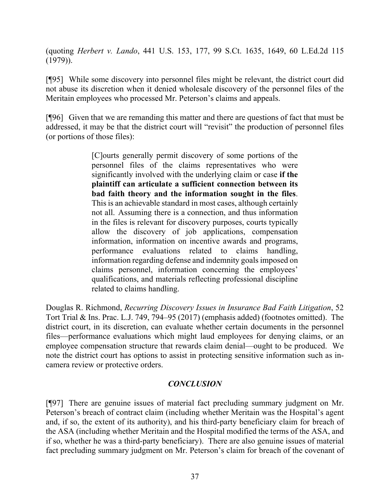(quoting *Herbert v. Lando*, 441 U.S. 153, 177, 99 S.Ct. 1635, 1649, 60 L.Ed.2d 115 (1979)).

[¶95] While some discovery into personnel files might be relevant, the district court did not abuse its discretion when it denied wholesale discovery of the personnel files of the Meritain employees who processed Mr. Peterson's claims and appeals.

[¶96] Given that we are remanding this matter and there are questions of fact that must be addressed, it may be that the district court will "revisit" the production of personnel files (or portions of those files):

> [C]ourts generally permit discovery of some portions of the personnel files of the claims representatives who were significantly involved with the underlying claim or case **if the plaintiff can articulate a sufficient connection between its bad faith theory and the information sought in the files**. This is an achievable standard in most cases, although certainly not all. Assuming there is a connection, and thus information in the files is relevant for discovery purposes, courts typically allow the discovery of job applications, compensation information, information on incentive awards and programs, performance evaluations related to claims handling, information regarding defense and indemnity goals imposed on claims personnel, information concerning the employees' qualifications, and materials reflecting professional discipline related to claims handling.

Douglas R. Richmond, *Recurring Discovery Issues in Insurance Bad Faith Litigation*, 52 Tort Trial & Ins. Prac. L.J. 749, 794–95 (2017) (emphasis added) (footnotes omitted). The district court, in its discretion, can evaluate whether certain documents in the personnel files—performance evaluations which might laud employees for denying claims, or an employee compensation structure that rewards claim denial—ought to be produced. We note the district court has options to assist in protecting sensitive information such as incamera review or protective orders.

### *CONCLUSION*

[¶97] There are genuine issues of material fact precluding summary judgment on Mr. Peterson's breach of contract claim (including whether Meritain was the Hospital's agent and, if so, the extent of its authority), and his third-party beneficiary claim for breach of the ASA (including whether Meritain and the Hospital modified the terms of the ASA, and if so, whether he was a third-party beneficiary). There are also genuine issues of material fact precluding summary judgment on Mr. Peterson's claim for breach of the covenant of